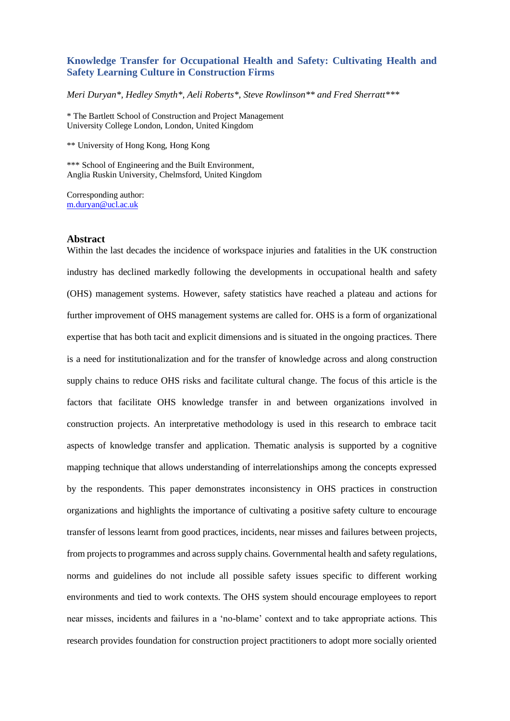## **Knowledge Transfer for Occupational Health and Safety: Cultivating Health and Safety Learning Culture in Construction Firms**

*Meri Duryan\*, Hedley Smyth\*, Aeli Roberts\*, Steve Rowlinson\*\* and Fred Sherratt\*\*\** 

\* The Bartlett School of Construction and Project Management University College London, London, United Kingdom

\*\* University of Hong Kong, Hong Kong

\*\*\* School of Engineering and the Built Environment, Anglia Ruskin University, Chelmsford, United Kingdom

Corresponding author: [m.duryan@ucl.ac.uk](mailto:m.duryan@ucl.ac.uk)

#### **Abstract**

Within the last decades the incidence of workspace injuries and fatalities in the UK construction industry has declined markedly following the developments in occupational health and safety (OHS) management systems. However, safety statistics have reached a plateau and actions for further improvement of OHS management systems are called for. OHS is a form of organizational expertise that has both tacit and explicit dimensions and is situated in the ongoing practices. There is a need for institutionalization and for the transfer of knowledge across and along construction supply chains to reduce OHS risks and facilitate cultural change. The focus of this article is the factors that facilitate OHS knowledge transfer in and between organizations involved in construction projects. An interpretative methodology is used in this research to embrace tacit aspects of knowledge transfer and application. Thematic analysis is supported by a cognitive mapping technique that allows understanding of interrelationships among the concepts expressed by the respondents. This paper demonstrates inconsistency in OHS practices in construction organizations and highlights the importance of cultivating a positive safety culture to encourage transfer of lessons learnt from good practices, incidents, near misses and failures between projects, from projects to programmes and across supply chains. Governmental health and safety regulations, norms and guidelines do not include all possible safety issues specific to different working environments and tied to work contexts. The OHS system should encourage employees to report near misses, incidents and failures in a 'no-blame' context and to take appropriate actions. This research provides foundation for construction project practitioners to adopt more socially oriented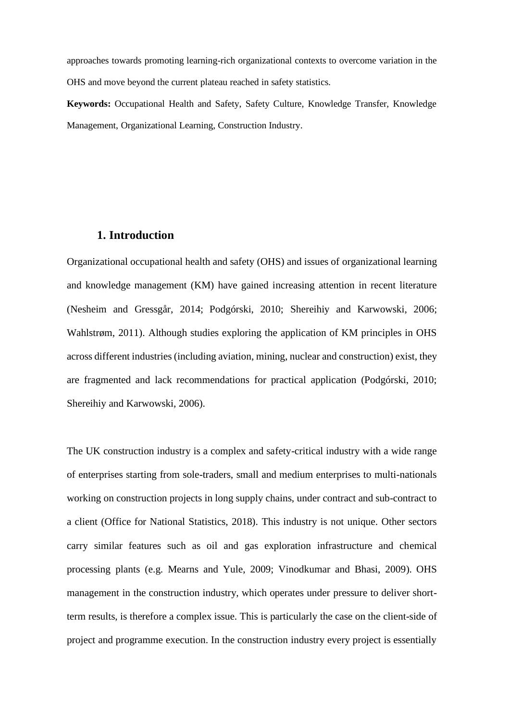approaches towards promoting learning-rich organizational contexts to overcome variation in the OHS and move beyond the current plateau reached in safety statistics.

**Keywords:** Occupational Health and Safety, Safety Culture, Knowledge Transfer, Knowledge Management, Organizational Learning, Construction Industry.

# **1. Introduction**

Organizational occupational health and safety (OHS) and issues of organizational learning and knowledge management (KM) have gained increasing attention in recent literature (Nesheim and Gressgår, 2014; Podgórski, 2010; Shereihiy and Karwowski, 2006; Wahlstrøm, 2011). Although studies exploring the application of KM principles in OHS across different industries (including aviation, mining, nuclear and construction) exist, they are fragmented and lack recommendations for practical application (Podgórski, 2010; Shereihiy and Karwowski, 2006).

The UK construction industry is a complex and safety-critical industry with a wide range of enterprises starting from sole-traders, small and medium enterprises to multi-nationals working on construction projects in long supply chains, under contract and sub-contract to a client (Office for National Statistics, 2018). This industry is not unique. Other sectors carry similar features such as oil and gas exploration infrastructure and chemical processing plants (e.g. Mearns and Yule, 2009; Vinodkumar and Bhasi, 2009). OHS management in the construction industry, which operates under pressure to deliver shortterm results, is therefore a complex issue. This is particularly the case on the client-side of project and programme execution. In the construction industry every project is essentially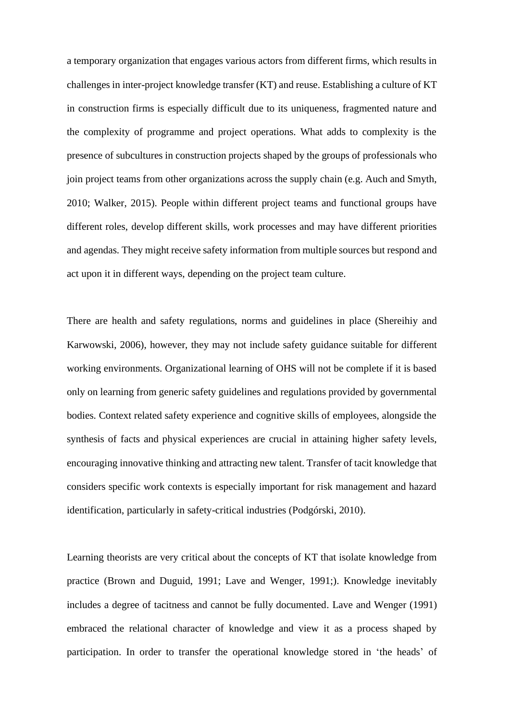a temporary organization that engages various actors from different firms, which results in challenges in inter-project knowledge transfer (KT) and reuse. Establishing a culture of KT in construction firms is especially difficult due to its uniqueness, fragmented nature and the complexity of programme and project operations. What adds to complexity is the presence of subcultures in construction projects shaped by the groups of professionals who join project teams from other organizations across the supply chain (e.g. Auch and Smyth, 2010; Walker, 2015). People within different project teams and functional groups have different roles, develop different skills, work processes and may have different priorities and agendas. They might receive safety information from multiple sources but respond and act upon it in different ways, depending on the project team culture.

There are health and safety regulations, norms and guidelines in place (Shereihiy and Karwowski, 2006), however, they may not include safety guidance suitable for different working environments. Organizational learning of OHS will not be complete if it is based only on learning from generic safety guidelines and regulations provided by governmental bodies. Context related safety experience and cognitive skills of employees, alongside the synthesis of facts and physical experiences are crucial in attaining higher safety levels, encouraging innovative thinking and attracting new talent. Transfer of tacit knowledge that considers specific work contexts is especially important for risk management and hazard identification, particularly in safety-critical industries (Podgórski, 2010).

Learning theorists are very critical about the concepts of KT that isolate knowledge from practice (Brown and Duguid, 1991; Lave and Wenger, 1991;). Knowledge inevitably includes a degree of tacitness and cannot be fully documented. Lave and Wenger (1991) embraced the relational character of knowledge and view it as a process shaped by participation. In order to transfer the operational knowledge stored in 'the heads' of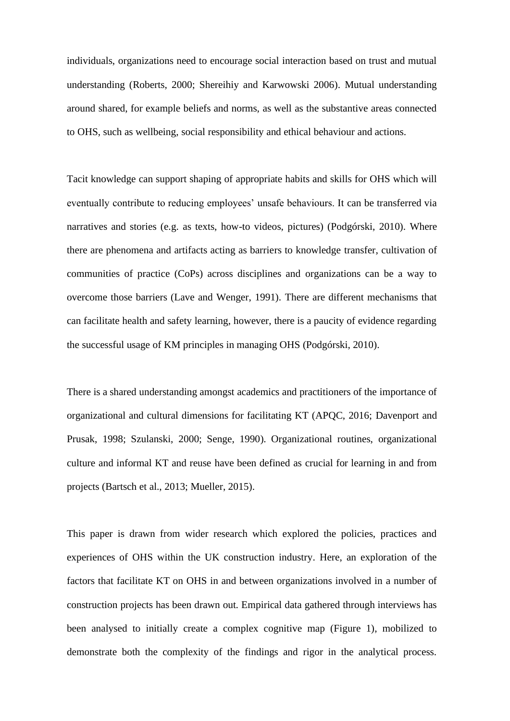individuals, organizations need to encourage social interaction based on trust and mutual understanding (Roberts, 2000; Shereihiy and Karwowski 2006). Mutual understanding around shared, for example beliefs and norms, as well as the substantive areas connected to OHS, such as wellbeing, social responsibility and ethical behaviour and actions.

Tacit knowledge can support shaping of appropriate habits and skills for OHS which will eventually contribute to reducing employees' unsafe behaviours. It can be transferred via narratives and stories (e.g. as texts, how-to videos, pictures) (Podgórski, 2010). Where there are phenomena and artifacts acting as barriers to knowledge transfer, cultivation of communities of practice (CoPs) across disciplines and organizations can be a way to overcome those barriers (Lave and Wenger, 1991). There are different mechanisms that can facilitate health and safety learning, however, there is a paucity of evidence regarding the successful usage of KM principles in managing OHS (Podgórski, 2010).

There is a shared understanding amongst academics and practitioners of the importance of organizational and cultural dimensions for facilitating KT (APQC, 2016; Davenport and Prusak, 1998; Szulanski, 2000; Senge, 1990). Organizational routines, organizational culture and informal KT and reuse have been defined as crucial for learning in and from projects (Bartsch et al., 2013; Mueller, 2015).

This paper is drawn from wider research which explored the policies, practices and experiences of OHS within the UK construction industry. Here, an exploration of the factors that facilitate KT on OHS in and between organizations involved in a number of construction projects has been drawn out. Empirical data gathered through interviews has been analysed to initially create a complex cognitive map (Figure 1), mobilized to demonstrate both the complexity of the findings and rigor in the analytical process.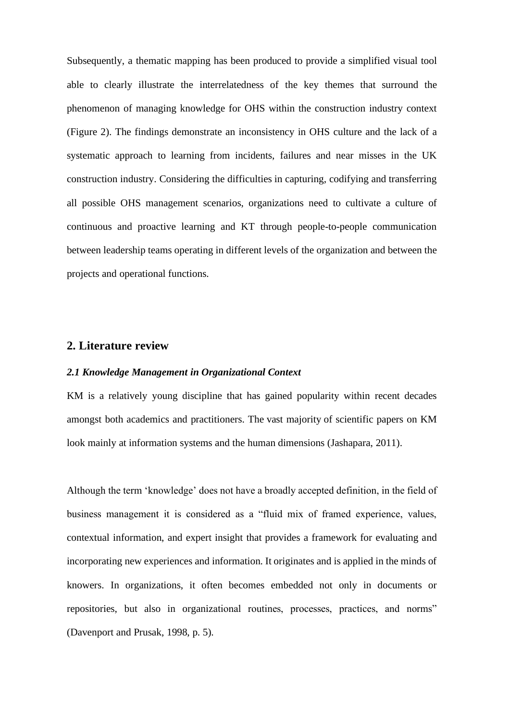Subsequently, a thematic mapping has been produced to provide a simplified visual tool able to clearly illustrate the interrelatedness of the key themes that surround the phenomenon of managing knowledge for OHS within the construction industry context (Figure 2). The findings demonstrate an inconsistency in OHS culture and the lack of a systematic approach to learning from incidents, failures and near misses in the UK construction industry. Considering the difficulties in capturing, codifying and transferring all possible OHS management scenarios, organizations need to cultivate a culture of continuous and proactive learning and KT through people-to-people communication between leadership teams operating in different levels of the organization and between the projects and operational functions.

## **2. Literature review**

#### *2.1 Knowledge Management in Organizational Context*

KM is a relatively young discipline that has gained popularity within recent decades amongst both academics and practitioners. The vast majority of scientific papers on KM look mainly at information systems and the human dimensions (Jashapara, 2011).

Although the term 'knowledge' does not have a broadly accepted definition, in the field of business management it is considered as a "fluid mix of framed experience, values, contextual information, and expert insight that provides a framework for evaluating and incorporating new experiences and information. It originates and is applied in the minds of knowers. In organizations, it often becomes embedded not only in documents or repositories, but also in organizational routines, processes, practices, and norms" (Davenport and Prusak, 1998, p. 5).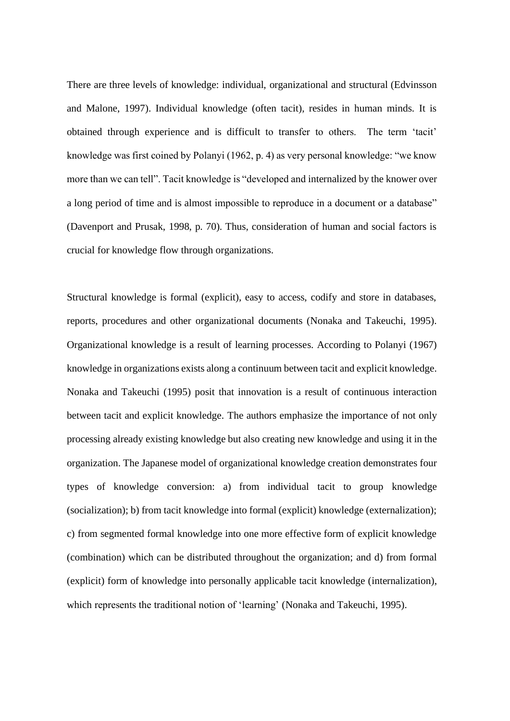There are three levels of knowledge: individual, organizational and structural (Edvinsson and Malone, 1997). Individual knowledge (often tacit), resides in human minds. It is obtained through experience and is difficult to transfer to others. The term 'tacit' knowledge was first coined by Polanyi (1962, p. 4) as very personal knowledge: "we know more than we can tell". Tacit knowledge is "developed and internalized by the knower over a long period of time and is almost impossible to reproduce in a document or a database" (Davenport and Prusak, 1998, p. 70). Thus, consideration of human and social factors is crucial for knowledge flow through organizations.

Structural knowledge is formal (explicit), easy to access, codify and store in databases, reports, procedures and other organizational documents (Nonaka and Takeuchi, 1995). Organizational knowledge is a result of learning processes. According to Polanyi (1967) knowledge in organizations exists along a continuum between tacit and explicit knowledge. Nonaka and Takeuchi (1995) posit that innovation is a result of continuous interaction between tacit and explicit knowledge. The authors emphasize the importance of not only processing already existing knowledge but also creating new knowledge and using it in the organization. The Japanese model of organizational knowledge creation demonstrates four types of knowledge conversion: a) from individual tacit to group knowledge (socialization); b) from tacit knowledge into formal (explicit) knowledge (externalization); c) from segmented formal knowledge into one more effective form of explicit knowledge (combination) which can be distributed throughout the organization; and d) from formal (explicit) form of knowledge into personally applicable tacit knowledge (internalization), which represents the traditional notion of 'learning' (Nonaka and Takeuchi, 1995).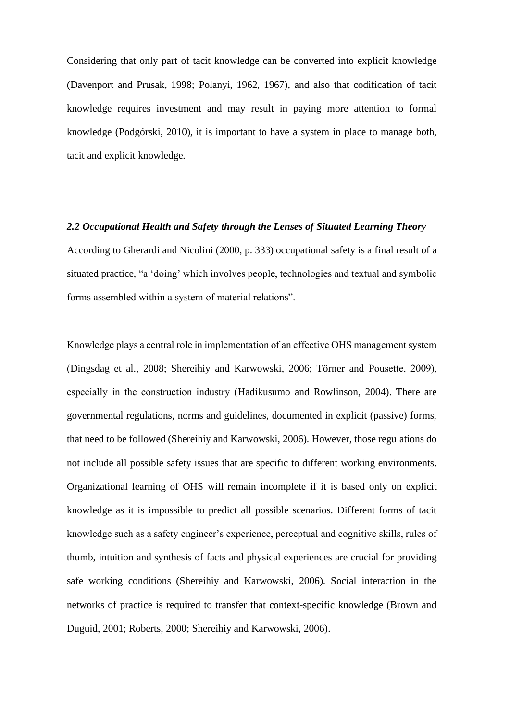Considering that only part of tacit knowledge can be converted into explicit knowledge (Davenport and Prusak, 1998; Polanyi, 1962, 1967), and also that codification of tacit knowledge requires investment and may result in paying more attention to formal knowledge (Podgórski, 2010), it is important to have a system in place to manage both, tacit and explicit knowledge.

#### *2.2 Occupational Health and Safety through the Lenses of Situated Learning Theory*

According to Gherardi and Nicolini (2000, p. 333) occupational safety is a final result of a situated practice, "a 'doing' which involves people, technologies and textual and symbolic forms assembled within a system of material relations".

Knowledge plays a central role in implementation of an effective OHS management system (Dingsdag et al., 2008; Shereihiy and Karwowski, 2006; Törner and Pousette, 2009), especially in the construction industry (Hadikusumo and Rowlinson, 2004). There are governmental regulations, norms and guidelines, documented in explicit (passive) forms, that need to be followed (Shereihiy and Karwowski, 2006). However, those regulations do not include all possible safety issues that are specific to different working environments. Organizational learning of OHS will remain incomplete if it is based only on explicit knowledge as it is impossible to predict all possible scenarios. Different forms of tacit knowledge such as a safety engineer's experience, perceptual and cognitive skills, rules of thumb, intuition and synthesis of facts and physical experiences are crucial for providing safe working conditions (Shereihiy and Karwowski, 2006). Social interaction in the networks of practice is required to transfer that context-specific knowledge (Brown and Duguid, 2001; Roberts, 2000; Shereihiy and Karwowski, 2006).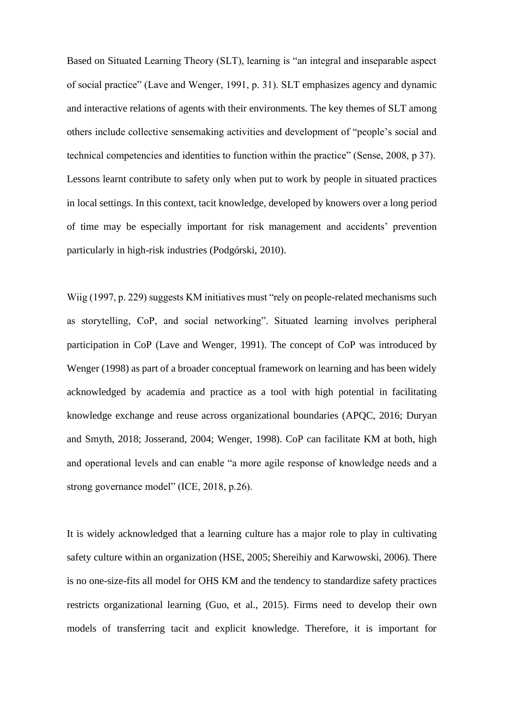Based on Situated Learning Theory (SLT), learning is "an integral and inseparable aspect of social practice" (Lave and Wenger, 1991, p. 31). SLT emphasizes agency and dynamic and interactive relations of agents with their environments. The key themes of SLT among others include collective sensemaking activities and development of "people's social and technical competencies and identities to function within the practice" (Sense, 2008, p 37). Lessons learnt contribute to safety only when put to work by people in situated practices in local settings. In this context, tacit knowledge, developed by knowers over a long period of time may be especially important for risk management and accidents' prevention particularly in high-risk industries (Podgórski, 2010).

Wiig (1997, p. 229) suggests KM initiatives must "rely on people-related mechanisms such as storytelling, CoP, and social networking". Situated learning involves peripheral participation in CoP (Lave and Wenger, 1991). The concept of CoP was introduced by Wenger (1998) as part of a broader conceptual framework on learning and has been widely acknowledged by academia and practice as a tool with high potential in facilitating knowledge exchange and reuse across organizational boundaries (APQC, 2016; Duryan and Smyth, 2018; Josserand, 2004; Wenger, 1998). CoP can facilitate KM at both, high and operational levels and can enable "a more agile response of knowledge needs and a strong governance model" (ICE, 2018, p.26).

It is widely acknowledged that a learning culture has a major role to play in cultivating safety culture within an organization (HSE, 2005; Shereihiy and Karwowski, 2006). There is no one-size-fits all model for OHS KM and the tendency to standardize safety practices restricts organizational learning (Guo, et al., 2015). Firms need to develop their own models of transferring tacit and explicit knowledge. Therefore, it is important for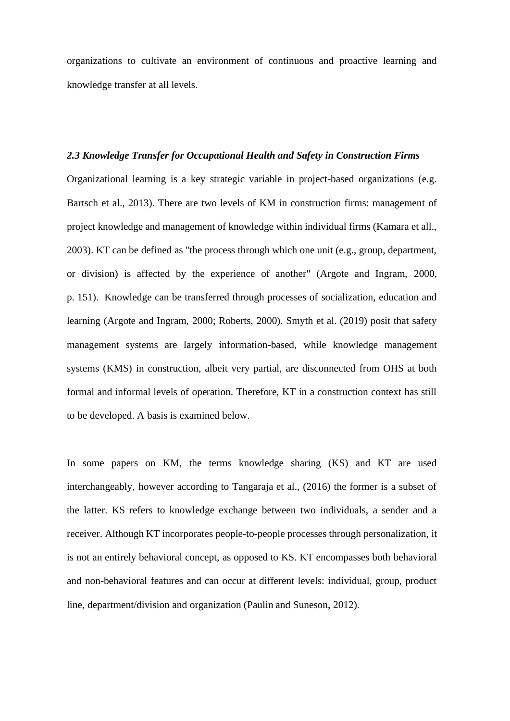organizations to cultivate an environment of continuous and proactive learning and knowledge transfer at all levels.

## *2.3 Knowledge Transfer for Occupational Health and Safety in Construction Firms*

Organizational learning is a key strategic variable in project-based organizations (e.g. Bartsch et al., 2013). There are two levels of KM in construction firms: management of project knowledge and management of knowledge within individual firms (Kamara et all., 2003). KT can be defined as "the process through which one unit (e.g., group, department, or division) is affected by the experience of another" (Argote and Ingram, 2000, p. 151). Knowledge can be transferred through processes of socialization, education and learning (Argote and Ingram, 2000; Roberts, 2000). Smyth et al. (2019) posit that safety management systems are largely information-based, while knowledge management systems (KMS) in construction, albeit very partial, are disconnected from OHS at both formal and informal levels of operation. Therefore, KT in a construction context has still to be developed. A basis is examined below.

In some papers on KM, the terms knowledge sharing (KS) and KT are used interchangeably, however according to Tangaraja et al., (2016) the former is a subset of the latter. KS refers to knowledge exchange between two individuals, a sender and a receiver. Although KT incorporates people-to-people processes through personalization, it is not an entirely behavioral concept, as opposed to KS. KT encompasses both behavioral and non-behavioral features and can occur at different levels: individual, group, product line, department/division and organization (Paulin and Suneson, 2012).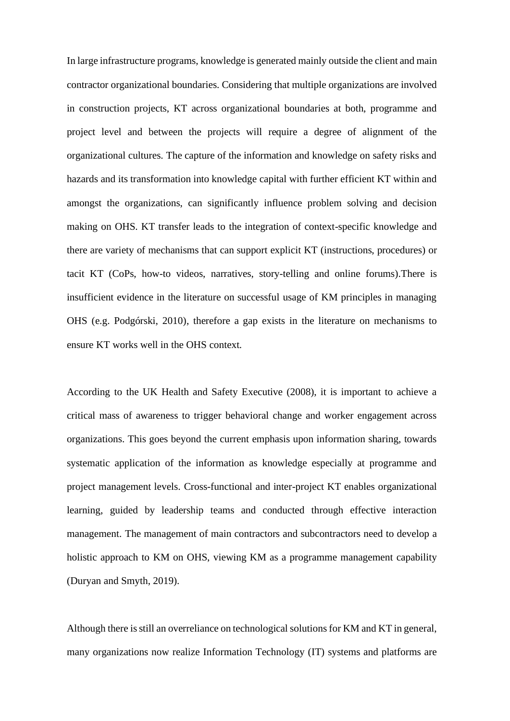In large infrastructure programs, knowledge is generated mainly outside the client and main contractor organizational boundaries. Considering that multiple organizations are involved in construction projects, KT across organizational boundaries at both, programme and project level and between the projects will require a degree of alignment of the organizational cultures. The capture of the information and knowledge on safety risks and hazards and its transformation into knowledge capital with further efficient KT within and amongst the organizations, can significantly influence problem solving and decision making on OHS. KT transfer leads to the integration of context-specific knowledge and there are variety of mechanisms that can support explicit KT (instructions, procedures) or tacit KT (CoPs, how-to videos, narratives, story-telling and online forums).There is insufficient evidence in the literature on successful usage of KM principles in managing OHS (e.g. Podgórski, 2010), therefore a gap exists in the literature on mechanisms to ensure KT works well in the OHS context.

According to the UK Health and Safety Executive (2008), it is important to achieve a critical mass of awareness to trigger behavioral change and worker engagement across organizations. This goes beyond the current emphasis upon information sharing, towards systematic application of the information as knowledge especially at programme and project management levels. Cross-functional and inter-project KT enables organizational learning, guided by leadership teams and conducted through effective interaction management. The management of main contractors and subcontractors need to develop a holistic approach to KM on OHS, viewing KM as a programme management capability (Duryan and Smyth, 2019).

Although there is still an overreliance on technological solutions for KM and KT in general, many organizations now realize Information Technology (IT) systems and platforms are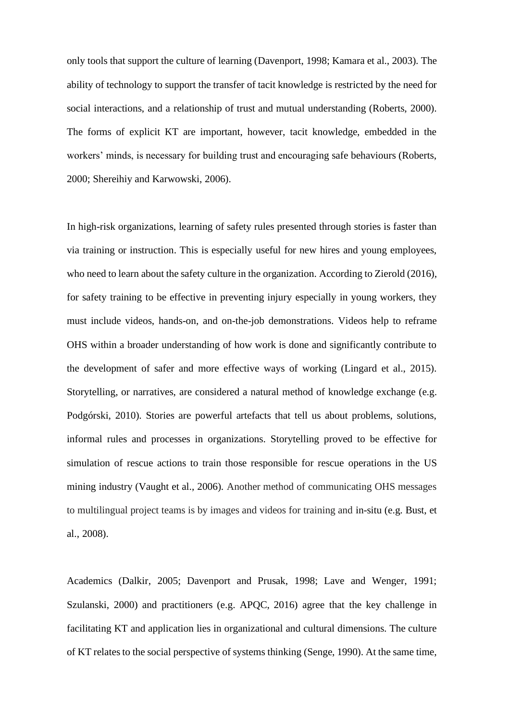only tools that support the culture of learning (Davenport, 1998; Kamara et al., 2003). The ability of technology to support the transfer of tacit knowledge is restricted by the need for social interactions, and a relationship of trust and mutual understanding (Roberts, 2000). The forms of explicit KT are important, however, tacit knowledge, embedded in the workers' minds, is necessary for building trust and encouraging safe behaviours (Roberts, 2000; Shereihiy and Karwowski, 2006).

In high-risk organizations, learning of safety rules presented through stories is faster than via training or instruction. This is especially useful for new hires and young employees, who need to learn about the safety culture in the organization. According to Zierold (2016), for safety training to be effective in preventing injury especially in young workers, they must include videos, hands-on, and on-the-job demonstrations. Videos help to reframe OHS within a broader understanding of how work is done and significantly contribute to the development of safer and more effective ways of working (Lingard et al., 2015). Storytelling, or narratives, are considered a natural method of knowledge exchange (e.g. Podgórski, 2010). Stories are powerful artefacts that tell us about problems, solutions, informal rules and processes in organizations. Storytelling proved to be effective for simulation of rescue actions to train those responsible for rescue operations in the US mining industry (Vaught et al., 2006). Another method of communicating OHS messages to multilingual project teams is by images and videos for training and in-situ (e.g. Bust, et al., 2008).

Academics (Dalkir, 2005; Davenport and Prusak, 1998; Lave and Wenger, 1991; Szulanski, 2000) and practitioners (e.g. APQC, 2016) agree that the key challenge in facilitating KT and application lies in organizational and cultural dimensions. The culture of KT relates to the social perspective of systems thinking (Senge, 1990). At the same time,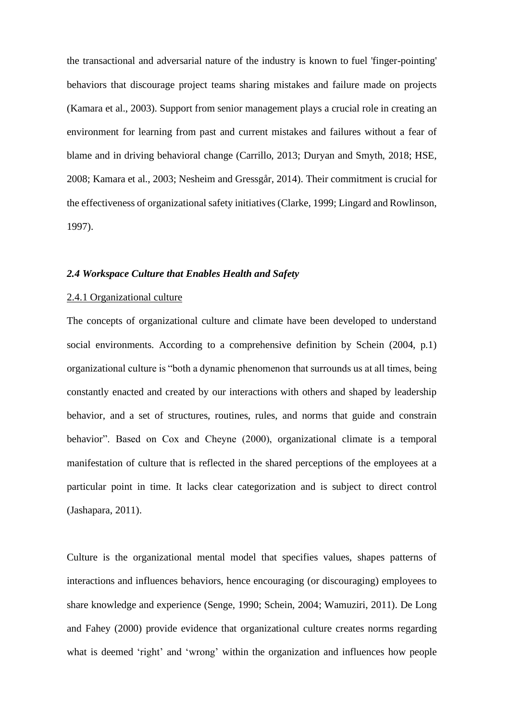the transactional and adversarial nature of the industry is known to fuel 'finger-pointing' behaviors that discourage project teams sharing mistakes and failure made on projects (Kamara et al., 2003). Support from senior management plays a crucial role in creating an environment for learning from past and current mistakes and failures without a fear of blame and in driving behavioral change (Carrillo, 2013; Duryan and Smyth, 2018; HSE, 2008; Kamara et al., 2003; Nesheim and Gressgår, 2014). Their commitment is crucial for the effectiveness of organizational safety initiatives (Clarke, 1999; Lingard and Rowlinson, 1997).

#### *2.4 Workspace Culture that Enables Health and Safety*

## 2.4.1 Organizational culture

The concepts of organizational culture and climate have been developed to understand social environments. According to a comprehensive definition by Schein (2004, p.1) organizational culture is "both a dynamic phenomenon that surrounds us at all times, being constantly enacted and created by our interactions with others and shaped by leadership behavior, and a set of structures, routines, rules, and norms that guide and constrain behavior". Based on Cox and Cheyne (2000), organizational climate is a temporal manifestation of culture that is reflected in the shared perceptions of the employees at a particular point in time. It lacks clear categorization and is subject to direct control (Jashapara, 2011).

Culture is the organizational mental model that specifies values, shapes patterns of interactions and influences behaviors, hence encouraging (or discouraging) employees to share knowledge and experience (Senge, 1990; Schein, 2004; Wamuziri, 2011). De Long and Fahey (2000) provide evidence that organizational culture creates norms regarding what is deemed 'right' and 'wrong' within the organization and influences how people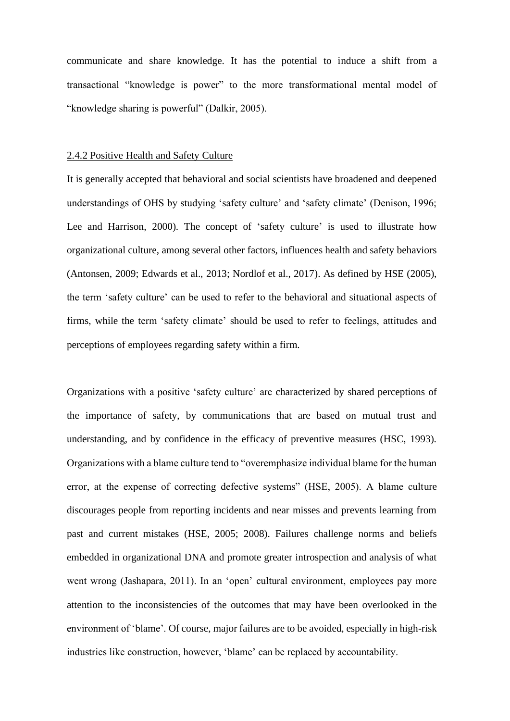communicate and share knowledge. It has the potential to induce a shift from a transactional "knowledge is power" to the more transformational mental model of "knowledge sharing is powerful" (Dalkir, 2005).

## 2.4.2 Positive Health and Safety Culture

It is generally accepted that behavioral and social scientists have broadened and deepened understandings of OHS by studying 'safety culture' and 'safety climate' (Denison, 1996; Lee and Harrison, 2000). The concept of 'safety culture' is used to illustrate how organizational culture, among several other factors, influences health and safety behaviors (Antonsen, 2009; Edwards et al., 2013; Nordlof et al., 2017). As defined by HSE (2005), the term 'safety culture' can be used to refer to the behavioral and situational aspects of firms, while the term 'safety climate' should be used to refer to feelings, attitudes and perceptions of employees regarding safety within a firm.

Organizations with a positive 'safety culture' are characterized by shared perceptions of the importance of safety, by communications that are based on mutual trust and understanding, and by confidence in the efficacy of preventive measures (HSC, 1993). Organizations with a blame culture tend to "overemphasize individual blame for the human error, at the expense of correcting defective systems" (HSE, 2005). A blame culture discourages people from reporting incidents and near misses and prevents learning from past and current mistakes (HSE, 2005; 2008). Failures challenge norms and beliefs embedded in organizational DNA and promote greater introspection and analysis of what went wrong (Jashapara, 2011). In an 'open' cultural environment, employees pay more attention to the inconsistencies of the outcomes that may have been overlooked in the environment of 'blame'. Of course, major failures are to be avoided, especially in high-risk industries like construction, however, 'blame' can be replaced by accountability.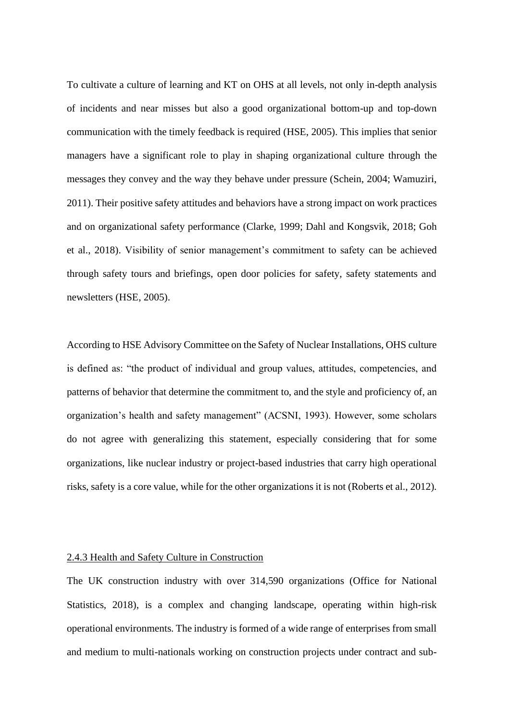To cultivate a culture of learning and KT on OHS at all levels, not only in-depth analysis of incidents and near misses but also a good organizational bottom-up and top-down communication with the timely feedback is required (HSE, 2005). This implies that senior managers have a significant role to play in shaping organizational culture through the messages they convey and the way they behave under pressure (Schein, 2004; Wamuziri, 2011). Their positive safety attitudes and behaviors have a strong impact on work practices and on organizational safety performance (Clarke, 1999; Dahl and Kongsvik, 2018; Goh et al., 2018). Visibility of senior management's commitment to safety can be achieved through safety tours and briefings, open door policies for safety, safety statements and newsletters (HSE, 2005).

According to HSE Advisory Committee on the Safety of Nuclear Installations, OHS culture is defined as: "the product of individual and group values, attitudes, competencies, and patterns of behavior that determine the commitment to, and the style and proficiency of, an organization's health and safety management" (ACSNI, 1993). However, some scholars do not agree with generalizing this statement, especially considering that for some organizations, like nuclear industry or project-based industries that carry high operational risks, safety is a core value, while for the other organizations it is not (Roberts et al., 2012).

## 2.4.3 Health and Safety Culture in Construction

The UK construction industry with over 314,590 organizations (Office for National Statistics, 2018), is a complex and changing landscape, operating within high-risk operational environments. The industry is formed of a wide range of enterprises from small and medium to multi-nationals working on construction projects under contract and sub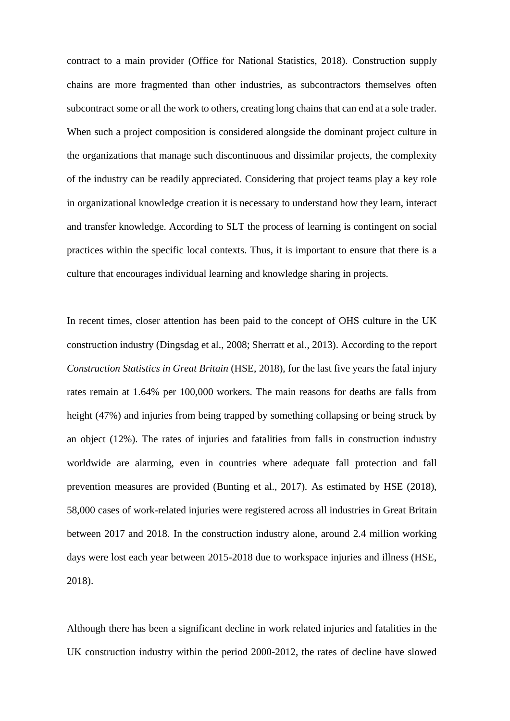contract to a main provider (Office for National Statistics, 2018). Construction supply chains are more fragmented than other industries, as subcontractors themselves often subcontract some or all the work to others, creating long chains that can end at a sole trader. When such a project composition is considered alongside the dominant project culture in the organizations that manage such discontinuous and dissimilar projects, the complexity of the industry can be readily appreciated. Considering that project teams play a key role in organizational knowledge creation it is necessary to understand how they learn, interact and transfer knowledge. According to SLT the process of learning is contingent on social practices within the specific local contexts. Thus, it is important to ensure that there is a culture that encourages individual learning and knowledge sharing in projects.

In recent times, closer attention has been paid to the concept of OHS culture in the UK construction industry (Dingsdag et al., 2008; Sherratt et al., 2013). According to the report *Construction Statistics in Great Britain* (HSE, 2018), for the last five years the fatal injury rates remain at 1.64% per 100,000 workers. The main reasons for deaths are falls from height (47%) and injuries from being trapped by something collapsing or being struck by an object (12%). The rates of injuries and fatalities from falls in construction industry worldwide are alarming, even in countries where adequate fall protection and fall prevention measures are provided (Bunting et al., 2017). As estimated by HSE (2018), 58,000 cases of work-related injuries were registered across all industries in Great Britain between 2017 and 2018. In the construction industry alone, around 2.4 million working days were lost each year between 2015-2018 due to workspace injuries and illness (HSE, 2018).

Although there has been a significant decline in work related injuries and fatalities in the UK construction industry within the period 2000-2012, the rates of decline have slowed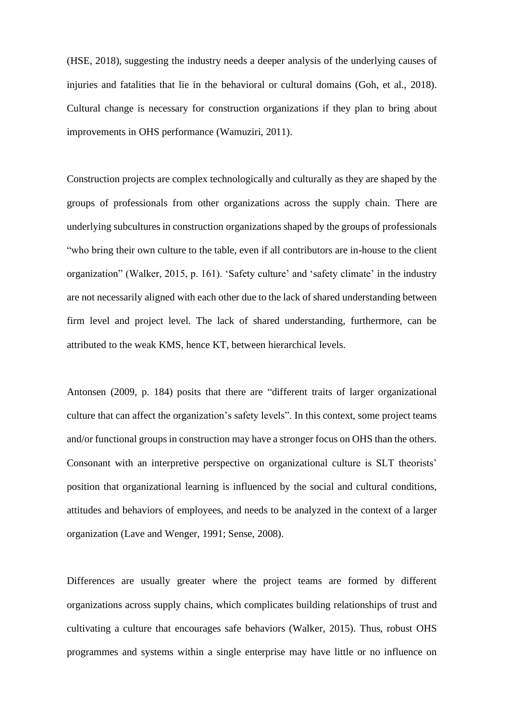(HSE, 2018), suggesting the industry needs a deeper analysis of the underlying causes of injuries and fatalities that lie in the behavioral or cultural domains (Goh, et al., 2018). Cultural change is necessary for construction organizations if they plan to bring about improvements in OHS performance (Wamuziri, 2011).

Construction projects are complex technologically and culturally as they are shaped by the groups of professionals from other organizations across the supply chain. There are underlying subcultures in construction organizations shaped by the groups of professionals "who bring their own culture to the table, even if all contributors are in-house to the client organization" (Walker, 2015, p. 161). 'Safety culture' and 'safety climate' in the industry are not necessarily aligned with each other due to the lack of shared understanding between firm level and project level. The lack of shared understanding, furthermore, can be attributed to the weak KMS, hence KT, between hierarchical levels.

Antonsen (2009, p. 184) posits that there are "different traits of larger organizational culture that can affect the organization's safety levels". In this context, some project teams and/or functional groups in construction may have a stronger focus on OHS than the others. Consonant with an interpretive perspective on organizational culture is SLT theorists' position that organizational learning is influenced by the social and cultural conditions, attitudes and behaviors of employees, and needs to be analyzed in the context of a larger organization (Lave and Wenger, 1991; Sense, 2008).

Differences are usually greater where the project teams are formed by different organizations across supply chains, which complicates building relationships of trust and cultivating a culture that encourages safe behaviors (Walker, 2015). Thus, robust OHS programmes and systems within a single enterprise may have little or no influence on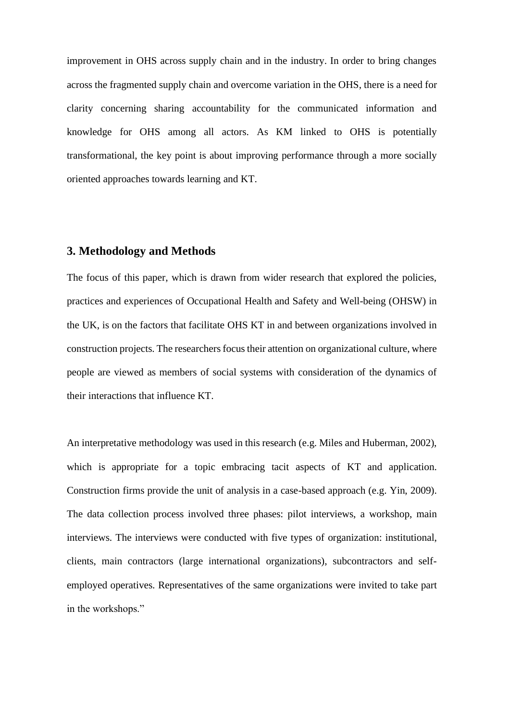improvement in OHS across supply chain and in the industry. In order to bring changes across the fragmented supply chain and overcome variation in the OHS, there is a need for clarity concerning sharing accountability for the communicated information and knowledge for OHS among all actors. As KM linked to OHS is potentially transformational, the key point is about improving performance through a more socially oriented approaches towards learning and KT.

# **3. Methodology and Methods**

The focus of this paper, which is drawn from wider research that explored the policies, practices and experiences of Occupational Health and Safety and Well-being (OHSW) in the UK, is on the factors that facilitate OHS KT in and between organizations involved in construction projects. The researchers focus their attention on organizational culture, where people are viewed as members of social systems with consideration of the dynamics of their interactions that influence KT.

An interpretative methodology was used in this research (e.g. Miles and Huberman, 2002), which is appropriate for a topic embracing tacit aspects of KT and application. Construction firms provide the unit of analysis in a case-based approach (e.g. Yin, 2009). The data collection process involved three phases: pilot interviews, a workshop, main interviews. The interviews were conducted with five types of organization: institutional, clients, main contractors (large international organizations), subcontractors and selfemployed operatives. Representatives of the same organizations were invited to take part in the workshops."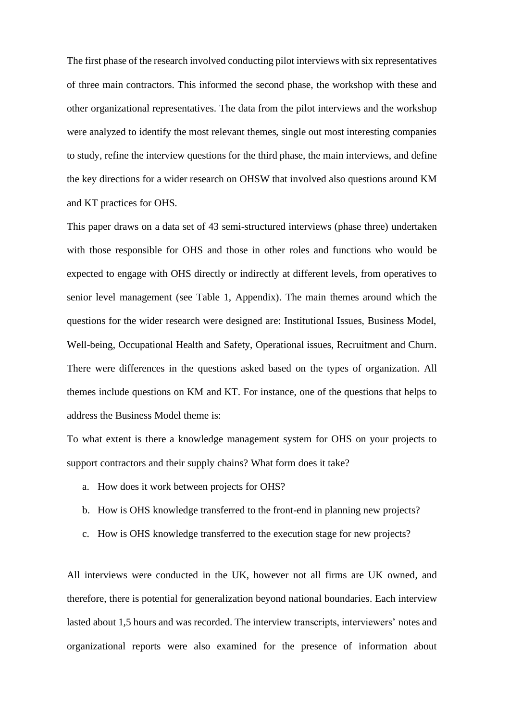The first phase of the research involved conducting pilot interviews with six representatives of three main contractors. This informed the second phase, the workshop with these and other organizational representatives. The data from the pilot interviews and the workshop were analyzed to identify the most relevant themes, single out most interesting companies to study, refine the interview questions for the third phase, the main interviews, and define the key directions for a wider research on OHSW that involved also questions around KM and KT practices for OHS.

This paper draws on a data set of 43 semi-structured interviews (phase three) undertaken with those responsible for OHS and those in other roles and functions who would be expected to engage with OHS directly or indirectly at different levels, from operatives to senior level management (see Table 1, Appendix). The main themes around which the questions for the wider research were designed are: Institutional Issues, Business Model, Well-being, Occupational Health and Safety, Operational issues, Recruitment and Churn. There were differences in the questions asked based on the types of organization. All themes include questions on KM and KT. For instance, one of the questions that helps to address the Business Model theme is:

To what extent is there a knowledge management system for OHS on your projects to support contractors and their supply chains? What form does it take?

- a. How does it work between projects for OHS?
- b. How is OHS knowledge transferred to the front-end in planning new projects?
- c. How is OHS knowledge transferred to the execution stage for new projects?

All interviews were conducted in the UK, however not all firms are UK owned, and therefore, there is potential for generalization beyond national boundaries. Each interview lasted about 1,5 hours and was recorded. The interview transcripts, interviewers' notes and organizational reports were also examined for the presence of information about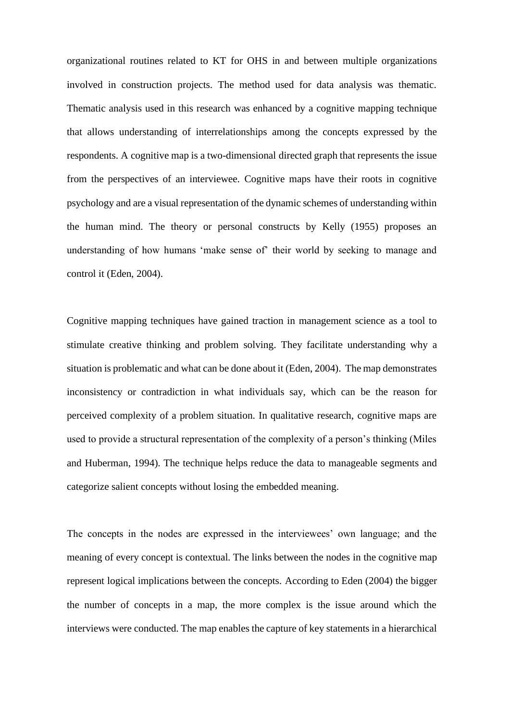organizational routines related to KT for OHS in and between multiple organizations involved in construction projects. The method used for data analysis was thematic. Thematic analysis used in this research was enhanced by a cognitive mapping technique that allows understanding of interrelationships among the concepts expressed by the respondents. A cognitive map is a two-dimensional directed graph that represents the issue from the perspectives of an interviewee. Cognitive maps have their roots in cognitive psychology and are a visual representation of the dynamic schemes of understanding within the human mind. The theory or personal constructs by Kelly (1955) proposes an understanding of how humans 'make sense of' their world by seeking to manage and control it (Eden, 2004).

Cognitive mapping techniques have gained traction in management science as a tool to stimulate creative thinking and problem solving. They facilitate understanding why a situation is problematic and what can be done about it (Eden, 2004). The map demonstrates inconsistency or contradiction in what individuals say, which can be the reason for perceived complexity of a problem situation. In qualitative research, cognitive maps are used to provide a structural representation of the complexity of a person's thinking (Miles and Huberman, 1994). The technique helps reduce the data to manageable segments and categorize salient concepts without losing the embedded meaning.

The concepts in the nodes are expressed in the interviewees' own language; and the meaning of every concept is contextual. The links between the nodes in the cognitive map represent logical implications between the concepts. According to Eden (2004) the bigger the number of concepts in a map, the more complex is the issue around which the interviews were conducted. The map enables the capture of key statements in a hierarchical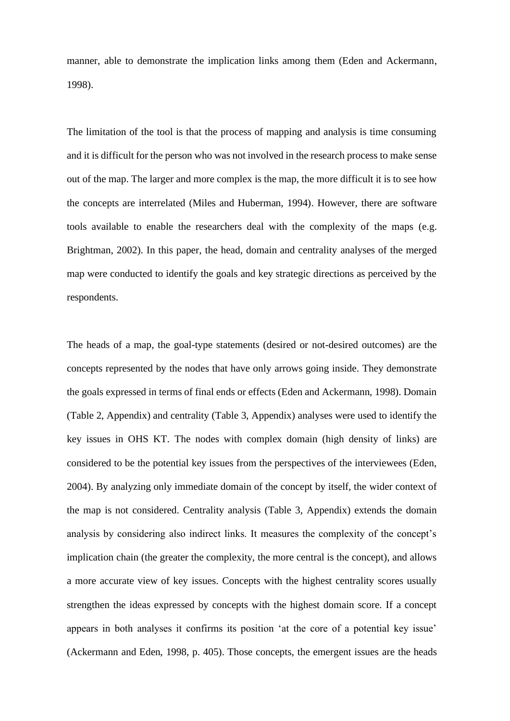manner, able to demonstrate the implication links among them (Eden and Ackermann, 1998).

The limitation of the tool is that the process of mapping and analysis is time consuming and it is difficult for the person who was not involved in the research process to make sense out of the map. The larger and more complex is the map, the more difficult it is to see how the concepts are interrelated (Miles and Huberman, 1994). However, there are software tools available to enable the researchers deal with the complexity of the maps (e.g. Brightman, 2002). In this paper, the head, domain and centrality analyses of the merged map were conducted to identify the goals and key strategic directions as perceived by the respondents.

The heads of a map, the goal-type statements (desired or not-desired outcomes) are the concepts represented by the nodes that have only arrows going inside. They demonstrate the goals expressed in terms of final ends or effects (Eden and Ackermann, 1998). Domain (Table 2, Appendix) and centrality (Table 3, Appendix) analyses were used to identify the key issues in OHS KT. The nodes with complex domain (high density of links) are considered to be the potential key issues from the perspectives of the interviewees (Eden, 2004). By analyzing only immediate domain of the concept by itself, the wider context of the map is not considered. Centrality analysis (Table 3, Appendix) extends the domain analysis by considering also indirect links. It measures the complexity of the concept's implication chain (the greater the complexity, the more central is the concept), and allows a more accurate view of key issues. Concepts with the highest centrality scores usually strengthen the ideas expressed by concepts with the highest domain score. If a concept appears in both analyses it confirms its position 'at the core of a potential key issue' (Ackermann and Eden, 1998, p. 405). Those concepts, the emergent issues are the heads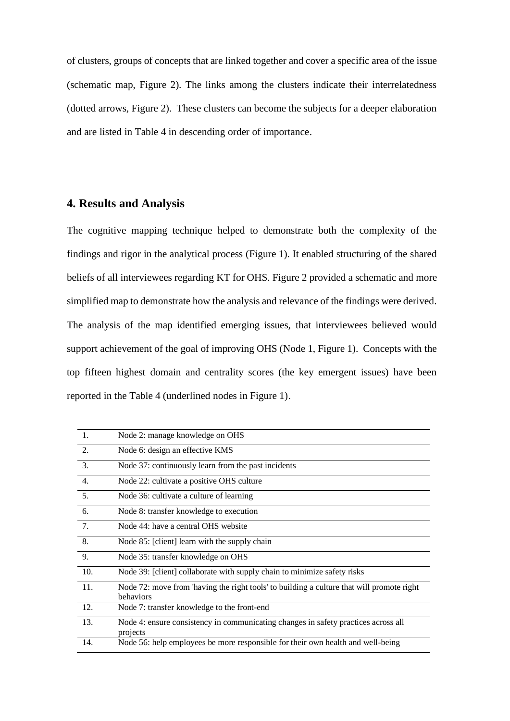of clusters, groups of concepts that are linked together and cover a specific area of the issue (schematic map, Figure 2). The links among the clusters indicate their interrelatedness (dotted arrows, Figure 2). These clusters can become the subjects for a deeper elaboration and are listed in Table 4 in descending order of importance.

# **4. Results and Analysis**

The cognitive mapping technique helped to demonstrate both the complexity of the findings and rigor in the analytical process (Figure 1). It enabled structuring of the shared beliefs of all interviewees regarding KT for OHS. Figure 2 provided a schematic and more simplified map to demonstrate how the analysis and relevance of the findings were derived. The analysis of the map identified emerging issues, that interviewees believed would support achievement of the goal of improving OHS (Node 1, Figure 1). Concepts with the top fifteen highest domain and centrality scores (the key emergent issues) have been reported in the Table 4 (underlined nodes in Figure 1).

| $\overline{1}$ . | Node 2: manage knowledge on OHS                                                                        |
|------------------|--------------------------------------------------------------------------------------------------------|
| 2.               | Node 6: design an effective KMS                                                                        |
| 3.               | Node 37: continuously learn from the past incidents                                                    |
| $\overline{4}$ . | Node 22: cultivate a positive OHS culture                                                              |
| 5.               | Node 36: cultivate a culture of learning                                                               |
| 6.               | Node 8: transfer knowledge to execution                                                                |
| 7.               | Node 44: have a central OHS website                                                                    |
| 8.               | Node 85: [client] learn with the supply chain                                                          |
| 9.               | Node 35: transfer knowledge on OHS                                                                     |
| 10.              | Node 39: [client] collaborate with supply chain to minimize safety risks                               |
| 11.              | Node 72: move from 'having the right tools' to building a culture that will promote right<br>behaviors |
| 12.              | Node 7: transfer knowledge to the front-end                                                            |
| 13.              | Node 4: ensure consistency in communicating changes in safety practices across all<br>projects         |
| 14.              | Node 56: help employees be more responsible for their own health and well-being                        |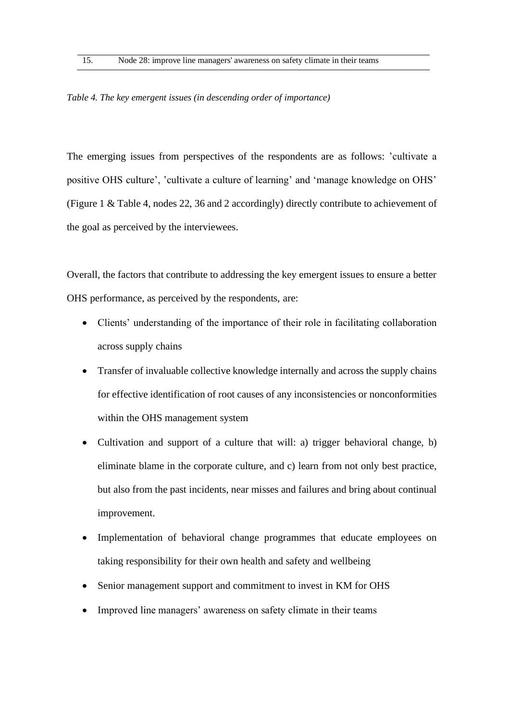*Table 4. The key emergent issues (in descending order of importance)*

The emerging issues from perspectives of the respondents are as follows: 'cultivate a positive OHS culture', 'cultivate a culture of learning' and 'manage knowledge on OHS' (Figure 1 & Table 4, nodes 22, 36 and 2 accordingly) directly contribute to achievement of the goal as perceived by the interviewees.

Overall, the factors that contribute to addressing the key emergent issues to ensure a better OHS performance, as perceived by the respondents, are:

- Clients' understanding of the importance of their role in facilitating collaboration across supply chains
- Transfer of invaluable collective knowledge internally and across the supply chains for effective identification of root causes of any inconsistencies or nonconformities within the OHS management system
- Cultivation and support of a culture that will: a) trigger behavioral change, b) eliminate blame in the corporate culture, and c) learn from not only best practice, but also from the past incidents, near misses and failures and bring about continual improvement.
- Implementation of behavioral change programmes that educate employees on taking responsibility for their own health and safety and wellbeing
- Senior management support and commitment to invest in KM for OHS
- Improved line managers' awareness on safety climate in their teams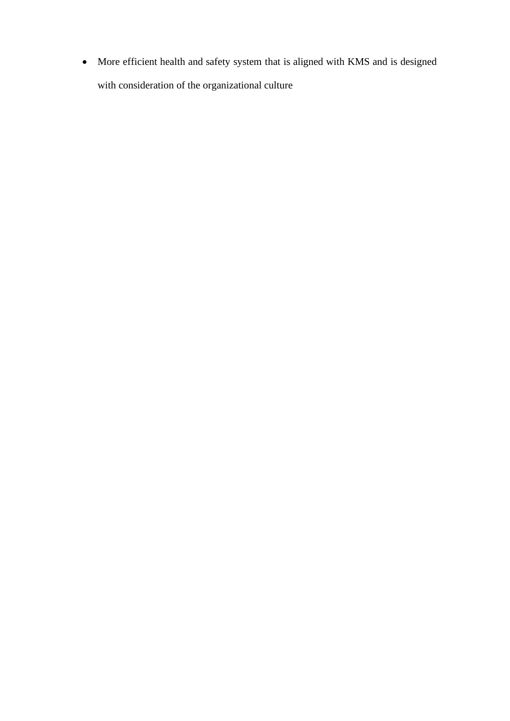• More efficient health and safety system that is aligned with KMS and is designed with consideration of the organizational culture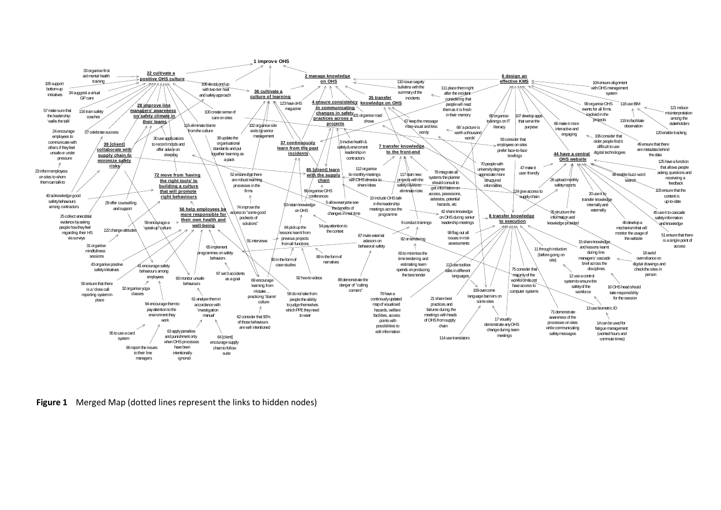

**Figure 1** Merged Map (dotted lines represent the links to hidden nodes)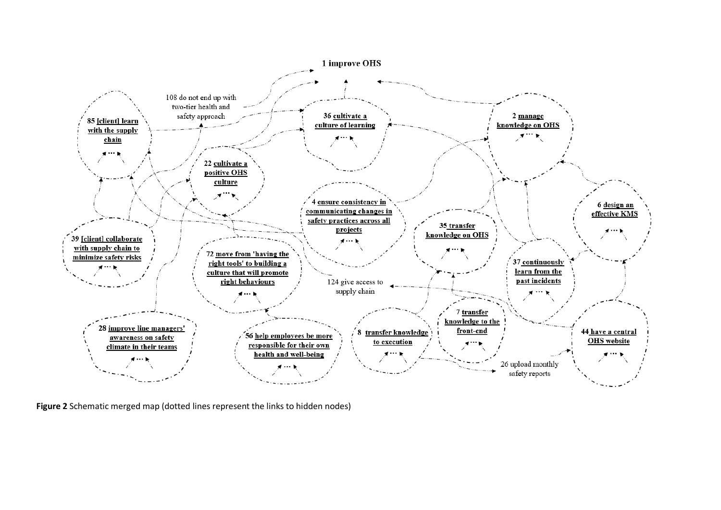

**Figure 2** Schematic merged map (dotted lines represent the links to hidden nodes)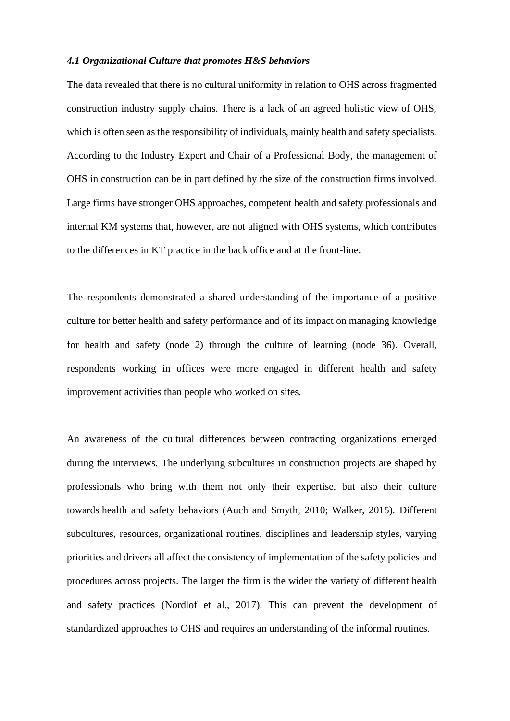## *4.1 Organizational Culture that promotes H&S behaviors*

The data revealed that there is no cultural uniformity in relation to OHS across fragmented construction industry supply chains. There is a lack of an agreed holistic view of OHS, which is often seen as the responsibility of individuals, mainly health and safety specialists. According to the Industry Expert and Chair of a Professional Body, the management of OHS in construction can be in part defined by the size of the construction firms involved. Large firms have stronger OHS approaches, competent health and safety professionals and internal KM systems that, however, are not aligned with OHS systems, which contributes to the differences in KT practice in the back office and at the front-line.

The respondents demonstrated a shared understanding of the importance of a positive culture for better health and safety performance and of its impact on managing knowledge for health and safety (node 2) through the culture of learning (node 36). Overall, respondents working in offices were more engaged in different health and safety improvement activities than people who worked on sites.

An awareness of the cultural differences between contracting organizations emerged during the interviews. The underlying subcultures in construction projects are shaped by professionals who bring with them not only their expertise, but also their culture towards health and safety behaviors (Auch and Smyth, 2010; Walker, 2015). Different subcultures, resources, organizational routines, disciplines and leadership styles, varying priorities and drivers all affect the consistency of implementation of the safety policies and procedures across projects. The larger the firm is the wider the variety of different health and safety practices (Nordlof et al., 2017). This can prevent the development of standardized approaches to OHS and requires an understanding of the informal routines.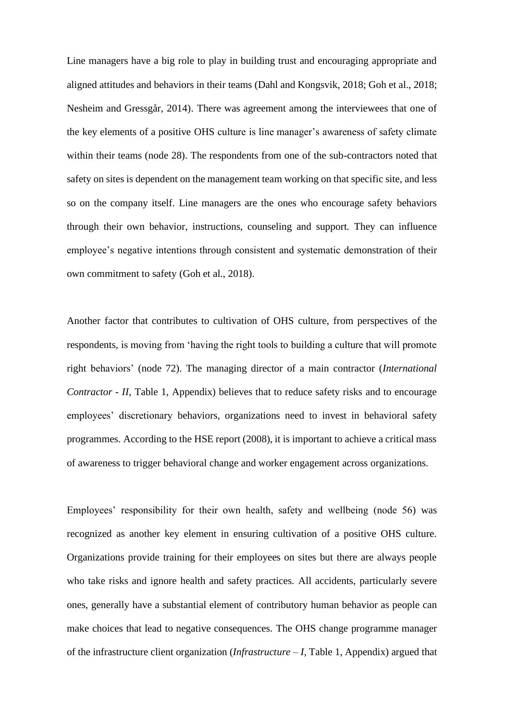Line managers have a big role to play in building trust and encouraging appropriate and aligned attitudes and behaviors in their teams (Dahl and Kongsvik, 2018; Goh et al., 2018; Nesheim and Gressgår, 2014). There was agreement among the interviewees that one of the key elements of a positive OHS culture is line manager's awareness of safety climate within their teams (node 28). The respondents from one of the sub-contractors noted that safety on sites is dependent on the management team working on that specific site, and less so on the company itself. Line managers are the ones who encourage safety behaviors through their own behavior, instructions, counseling and support. They can influence employee's negative intentions through consistent and systematic demonstration of their own commitment to safety (Goh et al., 2018).

Another factor that contributes to cultivation of OHS culture, from perspectives of the respondents, is moving from 'having the right tools to building a culture that will promote right behaviors' (node 72). The managing director of a main contractor (*International Contractor - II*, Table 1, Appendix) believes that to reduce safety risks and to encourage employees' discretionary behaviors, organizations need to invest in behavioral safety programmes. According to the HSE report (2008), it is important to achieve a critical mass of awareness to trigger behavioral change and worker engagement across organizations.

Employees' responsibility for their own health, safety and wellbeing (node 56) was recognized as another key element in ensuring cultivation of a positive OHS culture. Organizations provide training for their employees on sites but there are always people who take risks and ignore health and safety practices. All accidents, particularly severe ones, generally have a substantial element of contributory human behavior as people can make choices that lead to negative consequences. The OHS change programme manager of the infrastructure client organization (*Infrastructure – I*, Table 1, Appendix) argued that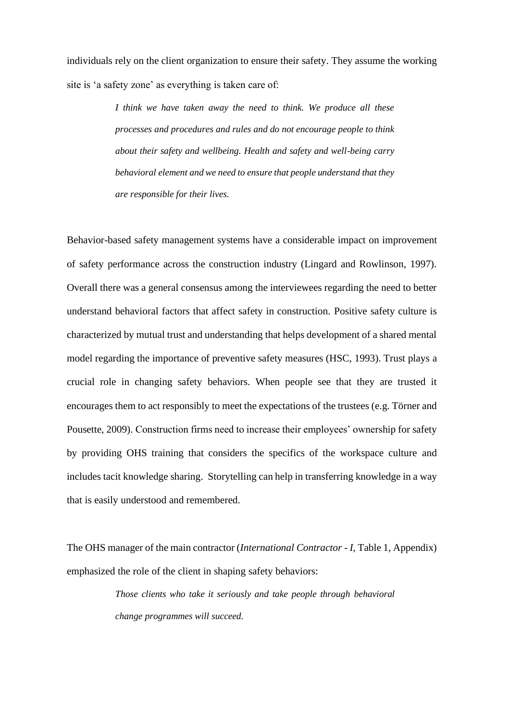individuals rely on the client organization to ensure their safety. They assume the working site is 'a safety zone' as everything is taken care of:

> *I think we have taken away the need to think. We produce all these processes and procedures and rules and do not encourage people to think about their safety and wellbeing. Health and safety and well-being carry behavioral element and we need to ensure that people understand that they are responsible for their lives.*

Behavior-based safety management systems have a considerable impact on improvement of safety performance across the construction industry (Lingard and Rowlinson, 1997). Overall there was a general consensus among the interviewees regarding the need to better understand behavioral factors that affect safety in construction. Positive safety culture is characterized by mutual trust and understanding that helps development of a shared mental model regarding the importance of preventive safety measures (HSC, 1993). Trust plays a crucial role in changing safety behaviors. When people see that they are trusted it encourages them to act responsibly to meet the expectations of the trustees (e.g. Törner and Pousette, 2009). Construction firms need to increase their employees' ownership for safety by providing OHS training that considers the specifics of the workspace culture and includes tacit knowledge sharing. Storytelling can help in transferring knowledge in a way that is easily understood and remembered.

The OHS manager of the main contractor (*International Contractor - I*, Table 1, Appendix) emphasized the role of the client in shaping safety behaviors:

> *Those clients who take it seriously and take people through behavioral change programmes will succeed.*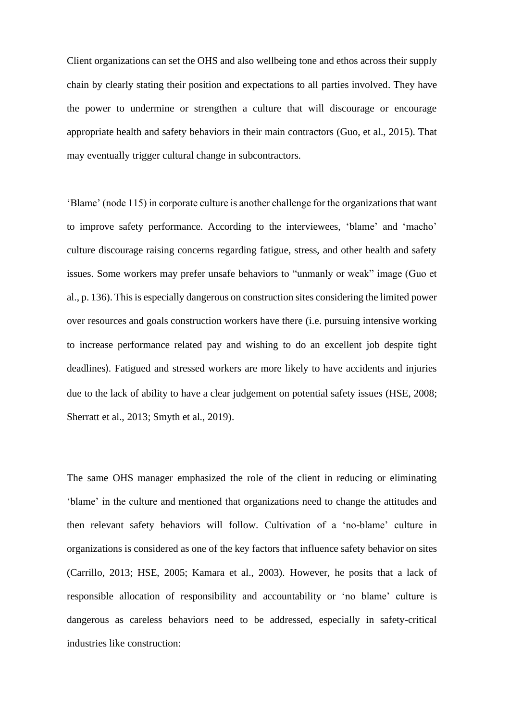Client organizations can set the OHS and also wellbeing tone and ethos across their supply chain by clearly stating their position and expectations to all parties involved. They have the power to undermine or strengthen a culture that will discourage or encourage appropriate health and safety behaviors in their main contractors (Guo, et al., 2015). That may eventually trigger cultural change in subcontractors.

'Blame' (node 115) in corporate culture is another challenge for the organizations that want to improve safety performance. According to the interviewees, 'blame' and 'macho' culture discourage raising concerns regarding fatigue, stress, and other health and safety issues. Some workers may prefer unsafe behaviors to "unmanly or weak" image (Guo et al., p. 136). Thisis especially dangerous on construction sites considering the limited power over resources and goals construction workers have there (i.e. pursuing intensive working to increase performance related pay and wishing to do an excellent job despite tight deadlines). Fatigued and stressed workers are more likely to have accidents and injuries due to the lack of ability to have a clear judgement on potential safety issues (HSE, 2008; Sherratt et al., 2013; Smyth et al., 2019).

The same OHS manager emphasized the role of the client in reducing or eliminating 'blame' in the culture and mentioned that organizations need to change the attitudes and then relevant safety behaviors will follow. Cultivation of a 'no-blame' culture in organizations is considered as one of the key factors that influence safety behavior on sites (Carrillo, 2013; HSE, 2005; Kamara et al., 2003). However, he posits that a lack of responsible allocation of responsibility and accountability or 'no blame' culture is dangerous as careless behaviors need to be addressed, especially in safety-critical industries like construction: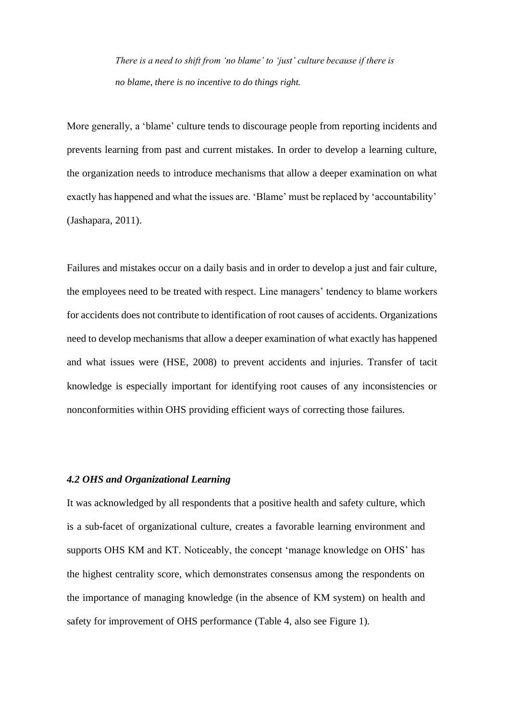*There is a need to shift from 'no blame' to 'just' culture because if there is no blame, there is no incentive to do things right.* 

More generally, a 'blame' culture tends to discourage people from reporting incidents and prevents learning from past and current mistakes. In order to develop a learning culture, the organization needs to introduce mechanisms that allow a deeper examination on what exactly has happened and what the issues are. 'Blame' must be replaced by 'accountability' (Jashapara, 2011).

Failures and mistakes occur on a daily basis and in order to develop a just and fair culture, the employees need to be treated with respect. Line managers' tendency to blame workers for accidents does not contribute to identification of root causes of accidents. Organizations need to develop mechanisms that allow a deeper examination of what exactly has happened and what issues were (HSE, 2008) to prevent accidents and injuries. Transfer of tacit knowledge is especially important for identifying root causes of any inconsistencies or nonconformities within OHS providing efficient ways of correcting those failures.

## *4.2 OHS and Organizational Learning*

It was acknowledged by all respondents that a positive health and safety culture, which is a sub-facet of organizational culture, creates a favorable learning environment and supports OHS KM and KT. Noticeably, the concept 'manage knowledge on OHS' has the highest centrality score, which demonstrates consensus among the respondents on the importance of managing knowledge (in the absence of KM system) on health and safety for improvement of OHS performance (Table 4, also see Figure 1).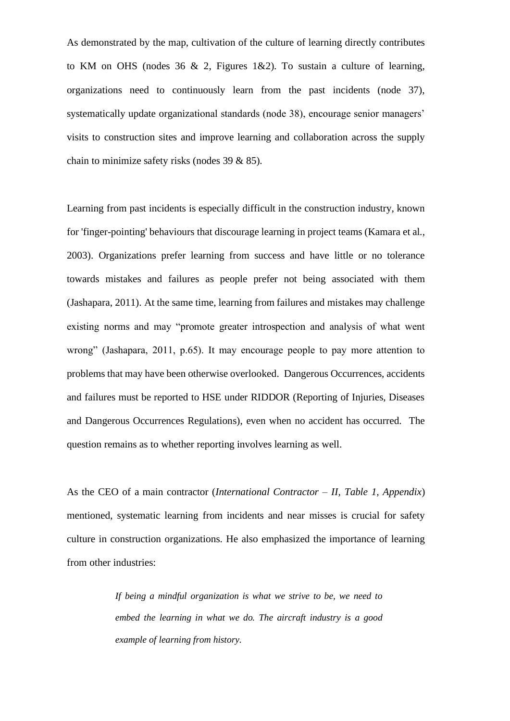As demonstrated by the map, cultivation of the culture of learning directly contributes to KM on OHS (nodes 36  $\&$  2, Figures 1 $\&$ 2). To sustain a culture of learning, organizations need to continuously learn from the past incidents (node 37), systematically update organizational standards (node 38), encourage senior managers' visits to construction sites and improve learning and collaboration across the supply chain to minimize safety risks (nodes 39 & 85).

Learning from past incidents is especially difficult in the construction industry, known for 'finger-pointing' behaviours that discourage learning in project teams (Kamara et al., 2003). Organizations prefer learning from success and have little or no tolerance towards mistakes and failures as people prefer not being associated with them (Jashapara, 2011). At the same time, learning from failures and mistakes may challenge existing norms and may "promote greater introspection and analysis of what went wrong" (Jashapara, 2011, p.65). It may encourage people to pay more attention to problems that may have been otherwise overlooked. Dangerous Occurrences, accidents and failures must be reported to HSE under RIDDOR (Reporting of Injuries, Diseases and Dangerous Occurrences Regulations), even when no accident has occurred. The question remains as to whether reporting involves learning as well.

As the CEO of a main contractor (*International Contractor – II, Table 1, Appendix*) mentioned, systematic learning from incidents and near misses is crucial for safety culture in construction organizations. He also emphasized the importance of learning from other industries:

> *If being a mindful organization is what we strive to be, we need to embed the learning in what we do. The aircraft industry is a good example of learning from history.*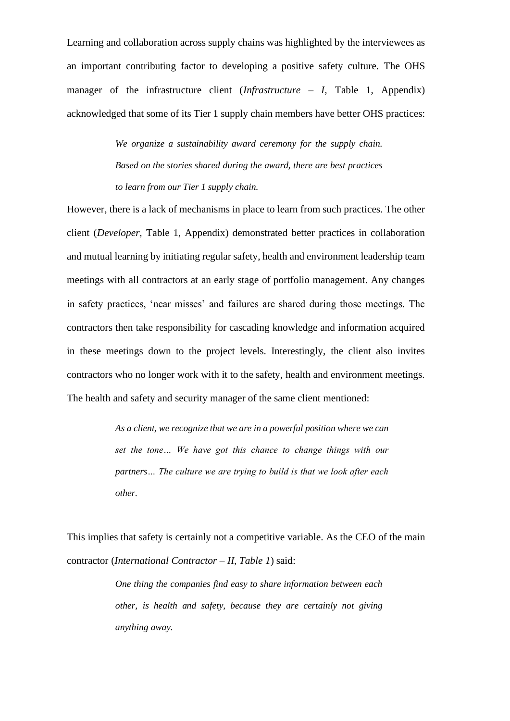Learning and collaboration across supply chains was highlighted by the interviewees as an important contributing factor to developing a positive safety culture. The OHS manager of the infrastructure client *(Infrastructure – I,* Table 1, Appendix) acknowledged that some of its Tier 1 supply chain members have better OHS practices:

> *We organize a sustainability award ceremony for the supply chain. Based on the stories shared during the award, there are best practices to learn from our Tier 1 supply chain.*

However, there is a lack of mechanisms in place to learn from such practices. The other client (*Developer,* Table 1, Appendix) demonstrated better practices in collaboration and mutual learning by initiating regular safety, health and environment leadership team meetings with all contractors at an early stage of portfolio management. Any changes in safety practices, 'near misses' and failures are shared during those meetings. The contractors then take responsibility for cascading knowledge and information acquired in these meetings down to the project levels. Interestingly, the client also invites contractors who no longer work with it to the safety, health and environment meetings. The health and safety and security manager of the same client mentioned:

> *As a client, we recognize that we are in a powerful position where we can set the tone… We have got this chance to change things with our partners… The culture we are trying to build is that we look after each other.*

This implies that safety is certainly not a competitive variable. As the CEO of the main contractor (*International Contractor – II, Table 1*) said:

> *One thing the companies find easy to share information between each other, is health and safety, because they are certainly not giving anything away.*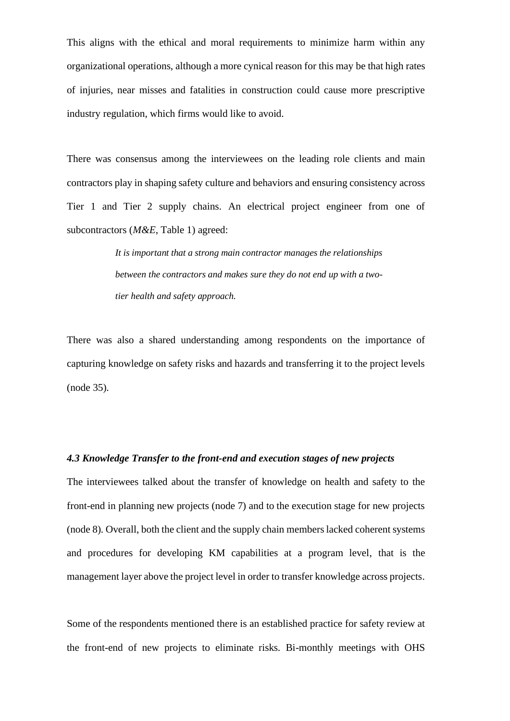This aligns with the ethical and moral requirements to minimize harm within any organizational operations, although a more cynical reason for this may be that high rates of injuries, near misses and fatalities in construction could cause more prescriptive industry regulation, which firms would like to avoid.

There was consensus among the interviewees on the leading role clients and main contractors play in shaping safety culture and behaviors and ensuring consistency across Tier 1 and Tier 2 supply chains. An electrical project engineer from one of subcontractors (*M&E*, Table 1) agreed:

> *It is important that a strong main contractor manages the relationships between the contractors and makes sure they do not end up with a twotier health and safety approach.*

There was also a shared understanding among respondents on the importance of capturing knowledge on safety risks and hazards and transferring it to the project levels (node 35).

## *4.3 Knowledge Transfer to the front-end and execution stages of new projects*

The interviewees talked about the transfer of knowledge on health and safety to the front-end in planning new projects (node 7) and to the execution stage for new projects (node 8). Overall, both the client and the supply chain members lacked coherent systems and procedures for developing KM capabilities at a program level, that is the management layer above the project level in order to transfer knowledge across projects.

Some of the respondents mentioned there is an established practice for safety review at the front-end of new projects to eliminate risks. Bi-monthly meetings with OHS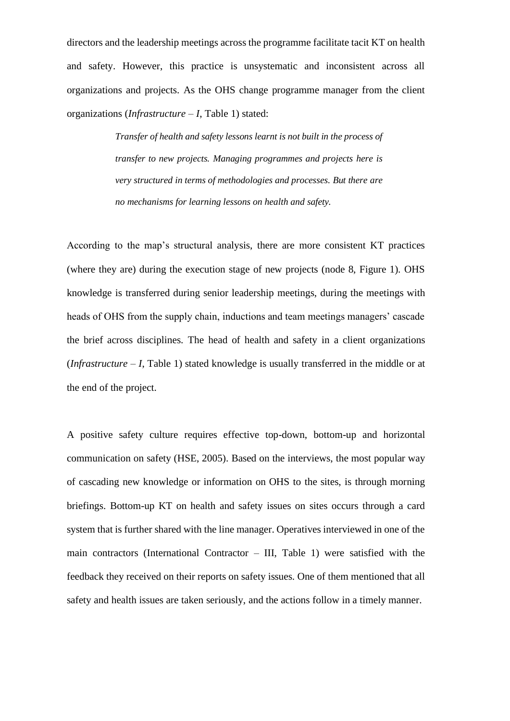directors and the leadership meetings across the programme facilitate tacit KT on health and safety. However, this practice is unsystematic and inconsistent across all organizations and projects. As the OHS change programme manager from the client organizations (*Infrastructure – I*, Table 1) stated:

> *Transfer of health and safety lessons learnt is not built in the process of transfer to new projects. Managing programmes and projects here is very structured in terms of methodologies and processes. But there are no mechanisms for learning lessons on health and safety.*

According to the map's structural analysis, there are more consistent KT practices (where they are) during the execution stage of new projects (node 8, Figure 1). OHS knowledge is transferred during senior leadership meetings, during the meetings with heads of OHS from the supply chain, inductions and team meetings managers' cascade the brief across disciplines. The head of health and safety in a client organizations (*Infrastructure – I*, Table 1) stated knowledge is usually transferred in the middle or at the end of the project.

A positive safety culture requires effective top-down, bottom-up and horizontal communication on safety (HSE, 2005). Based on the interviews, the most popular way of cascading new knowledge or information on OHS to the sites, is through morning briefings. Bottom-up KT on health and safety issues on sites occurs through a card system that is further shared with the line manager. Operatives interviewed in one of the main contractors (International Contractor – III, Table 1) were satisfied with the feedback they received on their reports on safety issues. One of them mentioned that all safety and health issues are taken seriously, and the actions follow in a timely manner.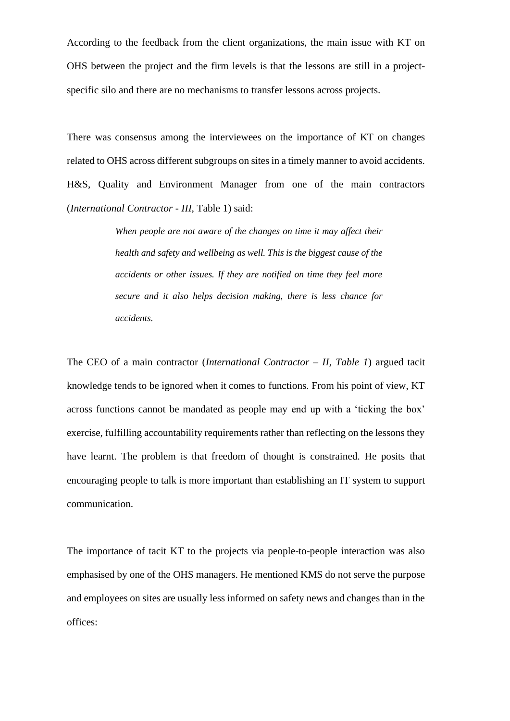According to the feedback from the client organizations, the main issue with KT on OHS between the project and the firm levels is that the lessons are still in a projectspecific silo and there are no mechanisms to transfer lessons across projects.

There was consensus among the interviewees on the importance of KT on changes related to OHS across different subgroups on sites in a timely manner to avoid accidents. H&S, Quality and Environment Manager from one of the main contractors (*International Contractor - III*, Table 1) said:

> *When people are not aware of the changes on time it may affect their health and safety and wellbeing as well. This is the biggest cause of the accidents or other issues. If they are notified on time they feel more secure and it also helps decision making, there is less chance for accidents.*

The CEO of a main contractor (*International Contractor – II, Table 1*) argued tacit knowledge tends to be ignored when it comes to functions. From his point of view, KT across functions cannot be mandated as people may end up with a 'ticking the box' exercise, fulfilling accountability requirements rather than reflecting on the lessons they have learnt. The problem is that freedom of thought is constrained. He posits that encouraging people to talk is more important than establishing an IT system to support communication.

The importance of tacit KT to the projects via people-to-people interaction was also emphasised by one of the OHS managers. He mentioned KMS do not serve the purpose and employees on sites are usually less informed on safety news and changes than in the offices: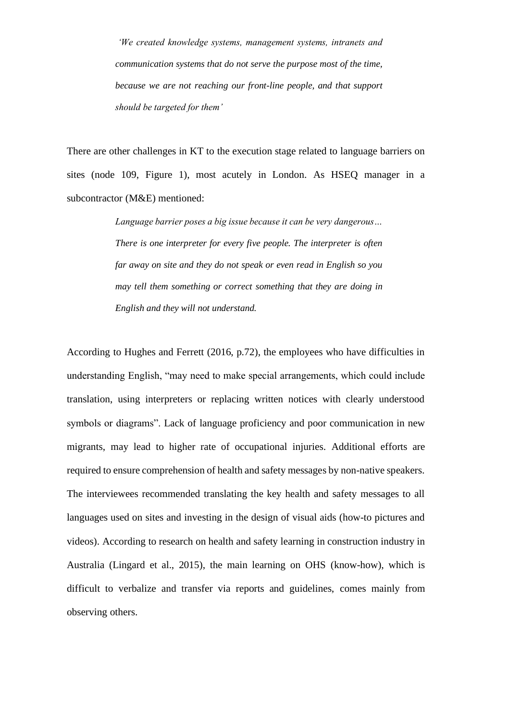*'We created knowledge systems, management systems, intranets and communication systems that do not serve the purpose most of the time, because we are not reaching our front-line people, and that support should be targeted for them'* 

There are other challenges in KT to the execution stage related to language barriers on sites (node 109, Figure 1), most acutely in London. As HSEO manager in a subcontractor (M&E) mentioned:

> *Language barrier poses a big issue because it can be very dangerous… There is one interpreter for every five people. The interpreter is often far away on site and they do not speak or even read in English so you may tell them something or correct something that they are doing in English and they will not understand.*

According to Hughes and Ferrett (2016, p.72), the employees who have difficulties in understanding English, "may need to make special arrangements, which could include translation, using interpreters or replacing written notices with clearly understood symbols or diagrams". Lack of language proficiency and poor communication in new migrants, may lead to higher rate of occupational injuries. Additional efforts are required to ensure comprehension of health and safety messages by non-native speakers. The interviewees recommended translating the key health and safety messages to all languages used on sites and investing in the design of visual aids (how-to pictures and videos). According to research on health and safety learning in construction industry in Australia (Lingard et al., 2015), the main learning on OHS (know-how), which is difficult to verbalize and transfer via reports and guidelines, comes mainly from observing others.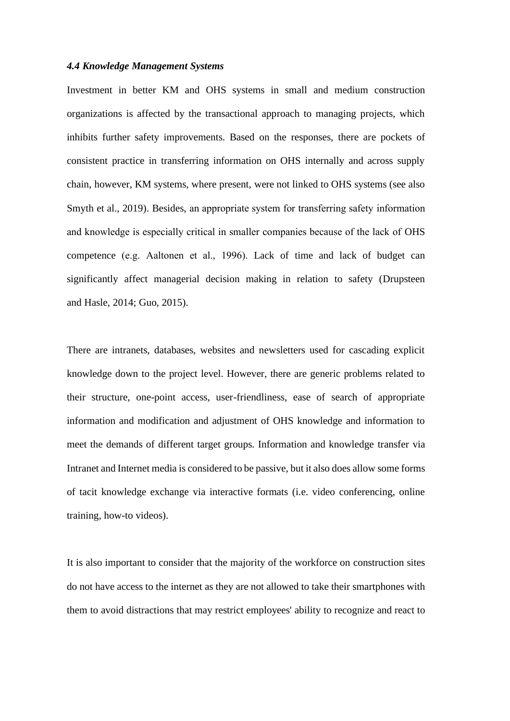#### *4.4 Knowledge Management Systems*

Investment in better KM and OHS systems in small and medium construction organizations is affected by the transactional approach to managing projects, which inhibits further safety improvements. Based on the responses, there are pockets of consistent practice in transferring information on OHS internally and across supply chain, however, KM systems, where present, were not linked to OHS systems (see also Smyth et al., 2019). Besides, an appropriate system for transferring safety information and knowledge is especially critical in smaller companies because of the lack of OHS competence (e.g. Aaltonen et al., 1996). Lack of time and lack of budget can significantly affect managerial decision making in relation to safety (Drupsteen and Hasle, 2014; Guo, 2015).

There are intranets, databases, websites and newsletters used for cascading explicit knowledge down to the project level. However, there are generic problems related to their structure, one-point access, user-friendliness, ease of search of appropriate information and modification and adjustment of OHS knowledge and information to meet the demands of different target groups. Information and knowledge transfer via Intranet and Internet media is considered to be passive, but it also does allow some forms of tacit knowledge exchange via interactive formats (i.e. video conferencing, online training, how-to videos).

It is also important to consider that the majority of the workforce on construction sites do not have access to the internet as they are not allowed to take their smartphones with them to avoid distractions that may restrict employees' ability to recognize and react to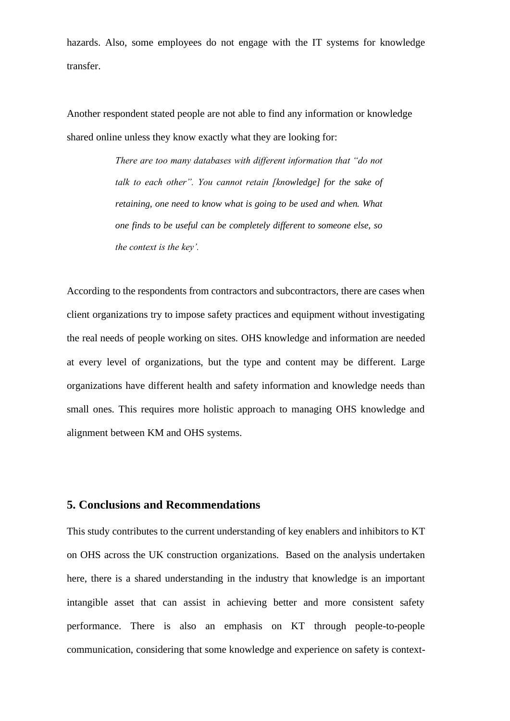hazards. Also, some employees do not engage with the IT systems for knowledge transfer.

Another respondent stated people are not able to find any information or knowledge shared online unless they know exactly what they are looking for:

> *There are too many databases with different information that "do not talk to each other". You cannot retain [knowledge] for the sake of retaining, one need to know what is going to be used and when. What one finds to be useful can be completely different to someone else, so the context is the key'.*

According to the respondents from contractors and subcontractors, there are cases when client organizations try to impose safety practices and equipment without investigating the real needs of people working on sites. OHS knowledge and information are needed at every level of organizations, but the type and content may be different. Large organizations have different health and safety information and knowledge needs than small ones. This requires more holistic approach to managing OHS knowledge and alignment between KM and OHS systems.

# **5. Conclusions and Recommendations**

This study contributes to the current understanding of key enablers and inhibitors to KT on OHS across the UK construction organizations. Based on the analysis undertaken here, there is a shared understanding in the industry that knowledge is an important intangible asset that can assist in achieving better and more consistent safety performance. There is also an emphasis on KT through people-to-people communication, considering that some knowledge and experience on safety is context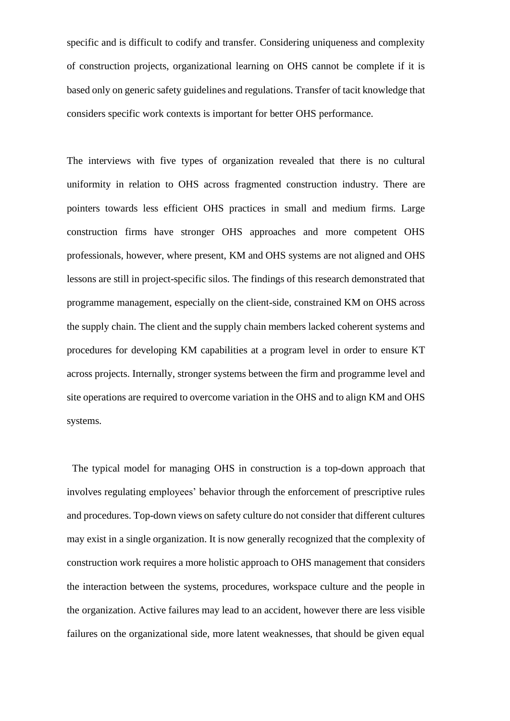specific and is difficult to codify and transfer. Considering uniqueness and complexity of construction projects, organizational learning on OHS cannot be complete if it is based only on generic safety guidelines and regulations. Transfer of tacit knowledge that considers specific work contexts is important for better OHS performance.

The interviews with five types of organization revealed that there is no cultural uniformity in relation to OHS across fragmented construction industry. There are pointers towards less efficient OHS practices in small and medium firms. Large construction firms have stronger OHS approaches and more competent OHS professionals, however, where present, KM and OHS systems are not aligned and OHS lessons are still in project-specific silos. The findings of this research demonstrated that programme management, especially on the client-side, constrained KM on OHS across the supply chain. The client and the supply chain members lacked coherent systems and procedures for developing KM capabilities at a program level in order to ensure KT across projects. Internally, stronger systems between the firm and programme level and site operations are required to overcome variation in the OHS and to align KM and OHS systems.

 The typical model for managing OHS in construction is a top-down approach that involves regulating employees' behavior through the enforcement of prescriptive rules and procedures. Top-down views on safety culture do not consider that different cultures may exist in a single organization. It is now generally recognized that the complexity of construction work requires a more holistic approach to OHS management that considers the interaction between the systems, procedures, workspace culture and the people in the organization. Active failures may lead to an accident, however there are less visible failures on the organizational side, more latent weaknesses, that should be given equal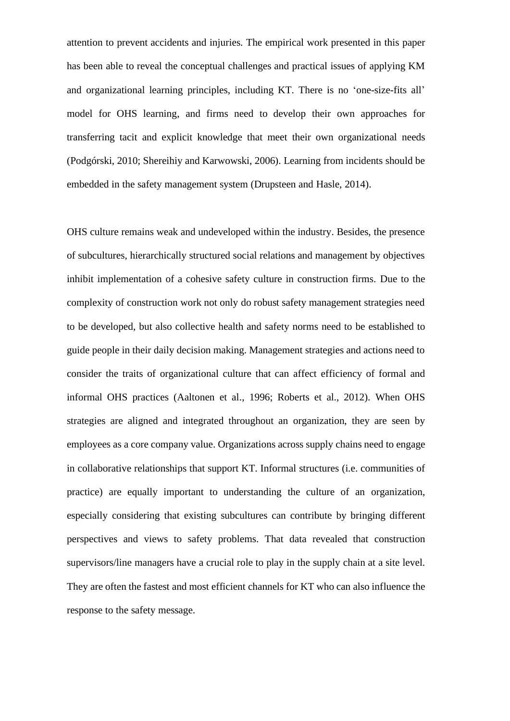attention to prevent accidents and injuries. The empirical work presented in this paper has been able to reveal the conceptual challenges and practical issues of applying KM and organizational learning principles, including KT. There is no 'one-size-fits all' model for OHS learning, and firms need to develop their own approaches for transferring tacit and explicit knowledge that meet their own organizational needs (Podgórski, 2010; Shereihiy and Karwowski, 2006). Learning from incidents should be embedded in the safety management system (Drupsteen and Hasle, 2014).

OHS culture remains weak and undeveloped within the industry. Besides, the presence of subcultures, hierarchically structured social relations and management by objectives inhibit implementation of a cohesive safety culture in construction firms. Due to the complexity of construction work not only do robust safety management strategies need to be developed, but also collective health and safety norms need to be established to guide people in their daily decision making. Management strategies and actions need to consider the traits of organizational culture that can affect efficiency of formal and informal OHS practices (Aaltonen et al., 1996; Roberts et al., 2012). When OHS strategies are aligned and integrated throughout an organization, they are seen by employees as a core company value. Organizations across supply chains need to engage in collaborative relationships that support KT. Informal structures (i.e. communities of practice) are equally important to understanding the culture of an organization, especially considering that existing subcultures can contribute by bringing different perspectives and views to safety problems. That data revealed that construction supervisors/line managers have a crucial role to play in the supply chain at a site level. They are often the fastest and most efficient channels for KT who can also influence the response to the safety message.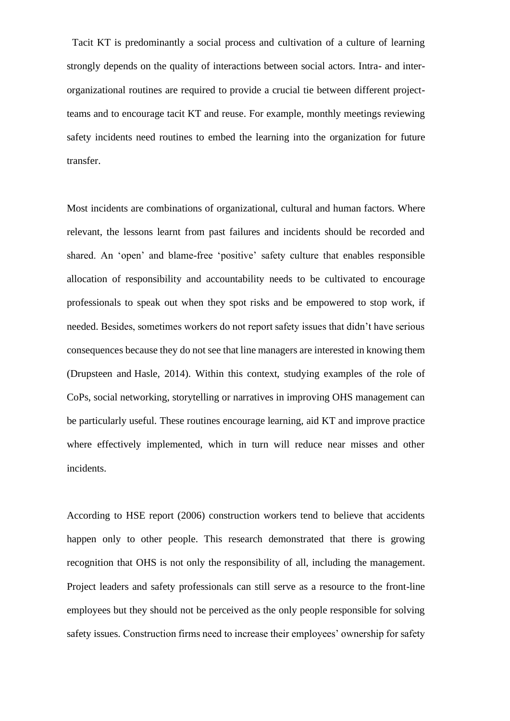Tacit KT is predominantly a social process and cultivation of a culture of learning strongly depends on the quality of interactions between social actors. Intra- and interorganizational routines are required to provide a crucial tie between different projectteams and to encourage tacit KT and reuse. For example, monthly meetings reviewing safety incidents need routines to embed the learning into the organization for future transfer.

Most incidents are combinations of organizational, cultural and human factors. Where relevant, the lessons learnt from past failures and incidents should be recorded and shared. An 'open' and blame-free 'positive' safety culture that enables responsible allocation of responsibility and accountability needs to be cultivated to encourage professionals to speak out when they spot risks and be empowered to stop work, if needed. Besides, sometimes workers do not report safety issues that didn't have serious consequences because they do not see that line managers are interested in knowing them (Drupsteen and Hasle, 2014). Within this context, studying examples of the role of CoPs, social networking, storytelling or narratives in improving OHS management can be particularly useful. These routines encourage learning, aid KT and improve practice where effectively implemented, which in turn will reduce near misses and other incidents.

According to HSE report (2006) construction workers tend to believe that accidents happen only to other people. This research demonstrated that there is growing recognition that OHS is not only the responsibility of all, including the management. Project leaders and safety professionals can still serve as a resource to the front-line employees but they should not be perceived as the only people responsible for solving safety issues. Construction firms need to increase their employees' ownership for safety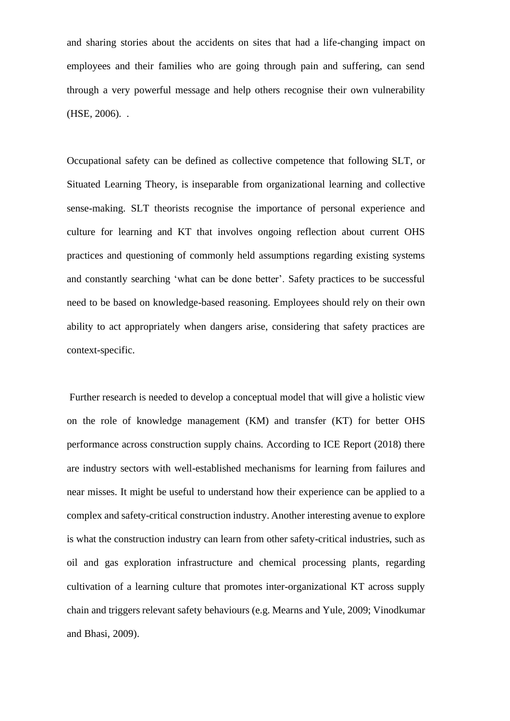and sharing stories about the accidents on sites that had a life-changing impact on employees and their families who are going through pain and suffering, can send through a very powerful message and help others recognise their own vulnerability (HSE, 2006). .

Occupational safety can be defined as collective competence that following SLT, or Situated Learning Theory, is inseparable from organizational learning and collective sense-making. SLT theorists recognise the importance of personal experience and culture for learning and KT that involves ongoing reflection about current OHS practices and questioning of commonly held assumptions regarding existing systems and constantly searching 'what can be done better'. Safety practices to be successful need to be based on knowledge-based reasoning. Employees should rely on their own ability to act appropriately when dangers arise, considering that safety practices are context-specific.

Further research is needed to develop a conceptual model that will give a holistic view on the role of knowledge management (KM) and transfer (KT) for better OHS performance across construction supply chains. According to ICE Report (2018) there are industry sectors with well-established mechanisms for learning from failures and near misses. It might be useful to understand how their experience can be applied to a complex and safety-critical construction industry. Another interesting avenue to explore is what the construction industry can learn from other safety-critical industries, such as oil and gas exploration infrastructure and chemical processing plants, regarding cultivation of a learning culture that promotes inter-organizational KT across supply chain and triggers relevant safety behaviours (e.g. [Mearns](https://www.sciencedirect.com/science/article/pii/S0925753508000295#!) and [Yule,](https://www.sciencedirect.com/science/article/pii/S0925753508000295#!) 2009; Vinodkumar and Bhasi, 2009).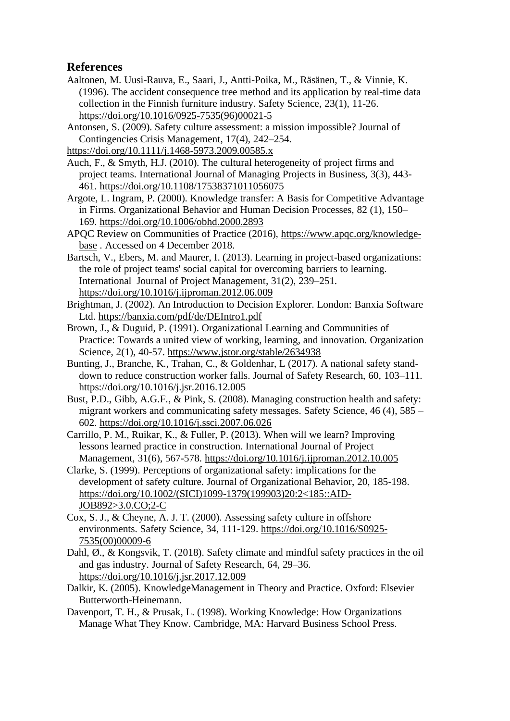# **References**

Aaltonen, M. [Uusi-Rauva, E., Saari,](https://www.sciencedirect.com/science/article/pii/0925753596000215#!) J., [Antti-Poika, M., Räsänen,](https://www.sciencedirect.com/science/article/pii/0925753596000215#!) T., & Vinnie, K. (1996). The accident consequence tree method and its application by real-time data collection in the Finnish furniture industry. Safety Science, 23(1), 11-26. [https://doi.org/10.1016/0925-7535\(96\)00021-5](https://doi.org/10.1016/0925-7535(96)00021-5)

Antonsen, S. (2009). Safety culture assessment: a mission impossible? Journal of Contingencies Crisis Management, 17(4), 242–254.

<https://doi.org/10.1111/j.1468-5973.2009.00585.x>

Auch, F., & Smyth, H.J. (2010). The cultural heterogeneity of project firms and project teams. International Journal of Managing Projects in Business, 3(3), 443- 461.<https://doi.org/10.1108/17538371011056075>

Argote, L. Ingram, P. (2000). Knowledge transfer: A Basis for Competitive Advantage in Firms. Organizational Behavior and Human Decision Processes, 82 (1), 150– 169. <https://doi.org/10.1006/obhd.2000.2893>

APQC Review on Communities of Practice (2016), [https://www.apqc.org/knowledge](https://www.apqc.org/knowledge-base)[base](https://www.apqc.org/knowledge-base) . Accessed on 4 December 2018.

Bartsch, V., Ebers, M. and Maurer, I. (2013). Learning in project-based organizations: the role of project teams' social capital for overcoming barriers to learning. International Journal of Project Management*,* 31(2), 239–251. <https://doi.org/10.1016/j.ijproman.2012.06.009>

Brightman, J. (2002). An Introduction to Decision Explorer. London: Banxia Software Ltd. <https://banxia.com/pdf/de/DEIntro1.pdf>

Brown, J., & Duguid, P. (1991). Organizational Learning and Communities of Practice: Towards a united view of working, learning, and innovation. Organization Science, 2(1), 40-57. <https://www.jstor.org/stable/2634938>

Bunting, J., Branche, K., Trahan, C., & Goldenhar, L (2017). A national safety standdown to reduce construction worker falls. Journal of Safety Research, 60, 103–111. <https://doi.org/10.1016/j.jsr.2016.12.005>

Bust, P.D., Gibb, A.G.F., & Pink, S. (2008). Managing construction health and safety: migrant workers and communicating safety messages. Safety Science, 46 (4), 585 – 602. <https://doi.org/10.1016/j.ssci.2007.06.026>

Carrillo, P. M., Ruikar, K., & Fuller, P. (2013). When will we learn? Improving lessons learned practice in construction. International Journal of Project Management*,* 31(6), 567-578. <https://doi.org/10.1016/j.ijproman.2012.10.005>

Clarke, S. (1999). Perceptions of organizational safety: implications for the development of safety culture. Journal of Organizational Behavior, 20, 185-198. [https://doi.org/10.1002/\(SICI\)1099-1379\(199903\)20:2<185::AID-](https://doi.org/10.1002/(SICI)1099-1379(199903)20:2%3c185::AID-JOB892%3e3.0.CO;2-C)[JOB892>3.0.CO;2-C](https://doi.org/10.1002/(SICI)1099-1379(199903)20:2%3c185::AID-JOB892%3e3.0.CO;2-C)

Cox, S. J., & Cheyne, A. J. T. (2000). Assessing safety culture in offshore environments. Safety Science, 34, 111-129. [https://doi.org/10.1016/S0925-](https://doi.org/10.1016/S0925-7535(00)00009-6) [7535\(00\)00009-6](https://doi.org/10.1016/S0925-7535(00)00009-6)

[Dahl, Ø.,](https://www.sciencedirect.com/science/article/pii/S0022437517302840#!) & [Kongsvik, T.](https://www.sciencedirect.com/science/article/pii/S0022437517302840#!) (2018). Safety climate and mindful safety practices in the oil and gas industry. Journal of Safety Research, 64, 29–36. <https://doi.org/10.1016/j.jsr.2017.12.009>

Dalkir, K. (2005). KnowledgeManagement in Theory and Practice. Oxford: Elsevier Butterworth-Heinemann.

Davenport, T. H., & Prusak, L. (1998). Working Knowledge: How Organizations Manage What They Know. Cambridge, MA: Harvard Business School Press.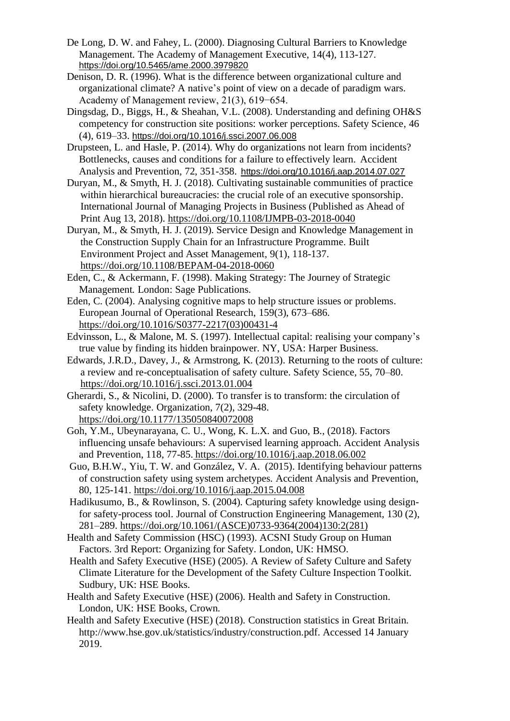- De Long, D. W. and Fahey, L. (2000). Diagnosing Cultural Barriers to Knowledge Management. The Academy of Management Executive, 14(4), 113-127. <https://doi.org/10.5465/ame.2000.3979820>
- Denison, D. R. (1996). What is the difference between organizational culture and organizational climate? A native's point of view on a decade of paradigm wars. Academy of Management review, 21(3), 619−654.
- Dingsdag, D., Biggs, H., & Sheahan, V.L. (2008). Understanding and defining OH&S competency for construction site positions: worker perceptions. Safety Science, 46 (4), 619–33. <https://doi.org/10.1016/j.ssci.2007.06.008>
- Drupsteen, L. and [Hasle, P.](https://www.ncbi.nlm.nih.gov/pubmed/?term=Hasle%20P%5BAuthor%5D&cauthor=true&cauthor_uid=25118127) (2014). Why do organizations not learn from incidents? Bottlenecks, causes and conditions for a failure to effectively learn. Accident Analysis and Prevention, 72, 351-358. <https://doi.org/10.1016/j.aap.2014.07.027>
- Duryan, M., & Smyth, H. J. (2018). Cultivating sustainable communities of practice within hierarchical bureaucracies: the crucial role of an executive sponsorship. International Journal of Managing Projects in Business (Published as Ahead of Print Aug 13, 2018).<https://doi.org/10.1108/IJMPB-03-2018-0040>
- Duryan, M., & Smyth, H. J. (2019). Service Design and Knowledge Management in the Construction Supply Chain for an Infrastructure Programme. Built Environment Project and Asset Management*,* 9(1), 118-137. <https://doi.org/10.1108/BEPAM-04-2018-0060>
- Eden, C., & Ackermann, F. (1998). Making Strategy: The Journey of Strategic Management*.* London: Sage Publications.
- Eden, C. (2004). Analysing cognitive maps to help structure issues or problems. European Journal of Operational Research, 159(3), 673–686. [https://doi.org/10.1016/S0377-2217\(03\)00431-4](https://doi.org/10.1016/S0377-2217(03)00431-4)
- Edvinsson, L., & Malone, M. S. (1997). Intellectual capital: realising your company's true value by finding its hidden brainpower. NY, USA: Harper Business.
- Edwards, J.R.D., Davey, J., & Armstrong, K. (2013). Returning to the roots of culture: a review and re-conceptualisation of safety culture. Safety Science*,* 55, 70–80. <https://doi.org/10.1016/j.ssci.2013.01.004>
- Gherardi, S., & Nicolini, D. (2000). To transfer is to transform: the circulation of safety knowledge. Organization, 7(2), 329-48. [https://doi.org/10.1177/135050840072008](https://doi.org/10.1177%2F135050840072008)
- Goh, Y.M., Ubeynarayana, C. U., Wong, K. L.X. and Guo, B., (2018). Factors influencing unsafe behaviours: A supervised learning approach. Accident Analysis and Prevention, 118, 77-85. <https://doi.org/10.1016/j.aap.2018.06.002>
- [Guo,](https://www.sciencedirect.com/science/article/abs/pii/S0001457515001372#!) B.H.W., Yiu, T. W. and [González,](https://www.sciencedirect.com/science/article/abs/pii/S0001457515001372#!) V. A. (2015). Identifying behaviour patterns of construction safety using system archetypes. [Accident Analysis and Prevention,](https://www.sciencedirect.com/science/journal/00014575) 80, 125-141.<https://doi.org/10.1016/j.aap.2015.04.008>
- Hadikusumo, B., & Rowlinson, S. (2004). Capturing safety knowledge using designfor safety-process tool. Journal of Construction Engineering Management, 130 (2), 281–289. [https://doi.org/10.1061/\(ASCE\)0733-9364\(2004\)130:2\(281\)](https://doi.org/10.1061/(ASCE)0733-9364(2004)130:2(281))
- Health and Safety Commission (HSC) (1993). ACSNI Study Group on Human Factors. 3rd Report: Organizing for Safety. London, UK: HMSO.
- Health and Safety Executive (HSE) (2005). A Review of Safety Culture and Safety Climate Literature for the Development of the Safety Culture Inspection Toolkit. Sudbury, UK: HSE Books.
- Health and Safety Executive (HSE) (2006). Health and Safety in Construction. London, UK: HSE Books, Crown.
- Health and Safety Executive (HSE) (2018). Construction statistics in Great Britain. http://www.hse.gov.uk/statistics/industry/construction.pdf. Accessed 14 January 2019.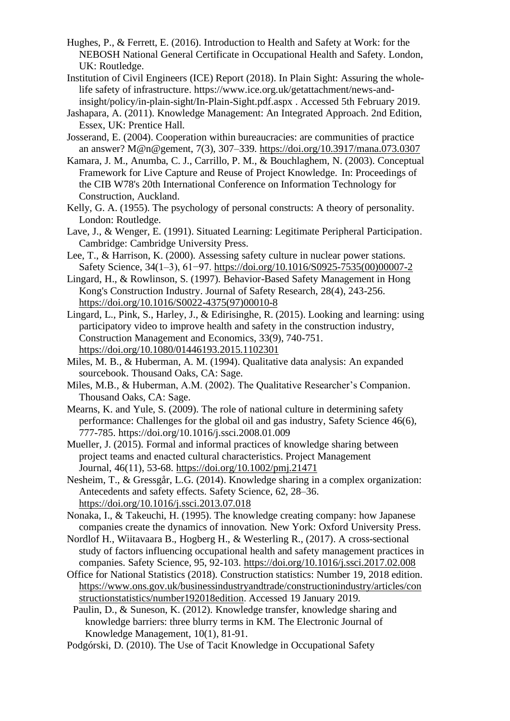- Hughes, P., & Ferrett, E. (2016). Introduction to Health and Safety at Work: for the NEBOSH National General Certificate in Occupational Health and Safety. London, UK: Routledge.
- [Institution of Civil Engineers](https://www.designingbuildings.co.uk/wiki/The_Institution_of_Civil_Engineers) (ICE) Report (2018). In Plain Sight: Assuring the wholelife safety of infrastructure. [https://www.ice.org.uk/getattachment/news-and](https://www.ice.org.uk/getattachment/news-and-insight/policy/in-plain-sight/In-Plain-Sight.pdf.aspx)[insight/policy/in-plain-sight/In-Plain-Sight.pdf.aspx](https://www.ice.org.uk/getattachment/news-and-insight/policy/in-plain-sight/In-Plain-Sight.pdf.aspx) . Accessed 5th February 2019.
- Jashapara, A. (2011). Knowledge Management: An Integrated Approach. 2nd Edition, Essex, UK: Prentice Hall.
- Josserand, E. (2004). Cooperation within bureaucracies: are communities of practice an answer? M@n@gement, 7(3), 307–339. <https://doi.org/10.3917/mana.073.0307>
- Kamara, J. M., Anumba, C. J., Carrillo, P. M., & Bouchlaghem, N. (2003). Conceptual Framework for Live Capture and Reuse of Project Knowledge. In: Proceedings of the CIB W78's 20th International Conference on Information Technology for Construction, Auckland.
- Kelly, G. A. (1955). The psychology of personal constructs: A theory of personality. London: Routledge.
- Lave, J., & Wenger, E. (1991). Situated Learning: Legitimate Peripheral Participation. Cambridge: Cambridge University Press.
- Lee, T., & Harrison, K. (2000). Assessing safety culture in nuclear power stations. Safety Science, 34(1–3), 61−97. [https://doi.org/10.1016/S0925-7535\(00\)00007-2](https://doi.org/10.1016/S0925-7535(00)00007-2)
- Lingard, H., & Rowlinson, S. (1997). Behavior-Based Safety Management in Hong Kong's Construction Industry. Journal of Safety Research, 28(4), 243-256. [https://doi.org/10.1016/S0022-4375\(97\)00010-8](https://doi.org/10.1016/S0022-4375(97)00010-8)
- Lingard, L., Pink, S., Harley, J., & Edirisinghe, R. (2015). Looking and learning: using participatory video to improve health and safety in the construction industry, Construction Management and Economics, 33(9), 740-751. <https://doi.org/10.1080/01446193.2015.1102301>
- Miles, M. B., & Huberman, A. M. (1994). Qualitative data analysis: An expanded sourcebook. Thousand Oaks, CA: Sage.
- Miles, M.B., & Huberman, A.M. (2002). The Qualitative Researcher's Companion. Thousand Oaks, CA: Sage.
- [Mearns,](https://www.sciencedirect.com/science/article/pii/S0925753508000295#!) K. and [Yule,](https://www.sciencedirect.com/science/article/pii/S0925753508000295#!) S. (2009). The role of national culture in determining safety performance: Challenges for the global oil and gas industry, [Safety Science](https://www.sciencedirect.com/science/journal/09257535) 46(6), 777-785.<https://doi.org/10.1016/j.ssci.2008.01.009>
- Mueller, J. (2015). Formal and informal practices of knowledge sharing between project teams and enacted cultural characteristics. Project Management Journal, 46(11), 53-68. <https://doi.org/10.1002/pmj.21471>
- Nesheim, T., & Gressgår, L.G. (2014). Knowledge sharing in a complex organization: Antecedents and safety effects. Safety Science*,* 62, 28–36. <https://doi.org/10.1016/j.ssci.2013.07.018>
- Nonaka, I., & Takeuchi, H. (1995). The knowledge creating company: how Japanese companies create the dynamics of innovation*.* New York: Oxford University Press.
- Nordlof H., Wiitavaara B., Hogberg H., & Westerling R., (2017). A cross-sectional study of factors influencing occupational health and safety management practices in companies. Safety Science*,* 95, 92-103.<https://doi.org/10.1016/j.ssci.2017.02.008>
- Office for National Statistics (2018). Construction statistics: Number 19, 2018 edition. [https://www.ons.gov.uk/businessindustryandtrade/constructionindustry/articles/con](https://www.ons.gov.uk/businessindustryandtrade/constructionindustry/articles/constructionstatistics/number192018edition) [structionstatistics/number192018edition](https://www.ons.gov.uk/businessindustryandtrade/constructionindustry/articles/constructionstatistics/number192018edition). Accessed 19 January 2019.
	- Paulin, D., & Suneson, K. (2012). Knowledge transfer, knowledge sharing and knowledge barriers: three blurry terms in KM. The Electronic Journal of Knowledge Management, 10(1), 81-91.
- Podgórski, D. (2010). The Use of Tacit Knowledge in Occupational Safety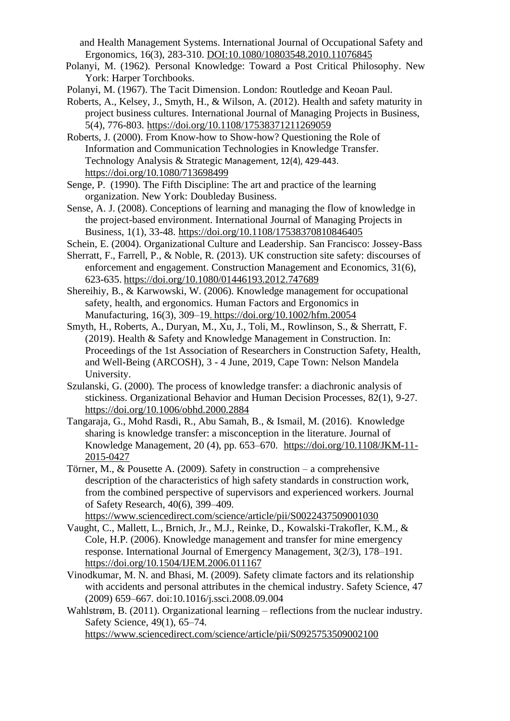and Health Management Systems. International Journal of Occupational Safety and Ergonomics, 16(3), 283-310. DOI[:10.1080/10803548.2010.11076845](https://doi.org/10.1080/10803548.2010.11076845)

- Polanyi, M. (1962). Personal Knowledge: Toward a Post Critical Philosophy. New York: Harper Torchbooks.
- Polanyi, M. (1967). The Tacit Dimension. London: Routledge and Keoan Paul.
- Roberts, A., Kelsey, J., Smyth, H., & [Wilson,](https://www.emeraldinsight.com/author/Wilson%2C+Adam) A. (2012). Health and safety maturity in project business cultures. International Journal of Managing Projects in Business, 5(4), 776-803. <https://doi.org/10.1108/17538371211269059>
- Roberts, J. (2000). From Know-how to Show-how? Questioning the Role of Information and Communication Technologies in Knowledge Transfer. Technology Analysis & Strategic Management, 12(4), 429-443. <https://doi.org/10.1080/713698499>
- Senge, P. (1990). The Fifth Discipline: The art and practice of the learning organization. New York: Doubleday Business.
- Sense, A. J. (2008). Conceptions of learning and managing the flow of knowledge in the project-based environment. International Journal of Managing Projects in Business, 1(1), 33-48.<https://doi.org/10.1108/17538370810846405>
- Schein, E. (2004). Organizational Culture and Leadership. San Francisco: Jossey-Bass
- Sherratt, F., Farrell, P., & Noble, R. (2013). UK construction site safety: discourses of enforcement and engagement. Construction Management and Economics, 31(6), 623-635. <https://doi.org/10.1080/01446193.2012.747689>
- Shereihiy, B., & Karwowski, W. (2006). Knowledge management for occupational safety, health, and ergonomics. Human Factors and Ergonomics in Manufacturing, 16(3), 309–19. <https://doi.org/10.1002/hfm.20054>
- Smyth, H., Roberts, A., Duryan, M., Xu, J., Toli, M., Rowlinson, S., & Sherratt, F. (2019). Health & Safety and Knowledge Management in Construction. In: Proceedings of the 1st Association of Researchers in Construction Safety, Health, and Well-Being (ARCOSH), 3 - 4 June, 2019, Cape Town: [Nelson](https://www.mandela.ac.za/) Mandela University.
- Szulanski, G. (2000). The process of knowledge transfer: a diachronic analysis of stickiness. Organizational Behavior and Human Decision Processes, 82(1), 9-27. <https://doi.org/10.1006/obhd.2000.2884>
- Tangaraja, G., Mohd Rasdi, R., Abu Samah, B., & Ismail, M. (2016). Knowledge sharing is knowledge transfer: a misconception in the literature. Journal of Knowledge Management, 20 (4), pp. 653–670. [https://doi.org/10.1108/JKM-11-](https://doi.org/10.1108/JKM-11-2015-0427) [2015-0427](https://doi.org/10.1108/JKM-11-2015-0427)
- Törner, M., & Pousette A. (2009). Safety in construction a comprehensive description of the characteristics of high safety standards in construction work, from the combined perspective of supervisors and experienced workers. Journal of Safety Research, 40(6), 399–409.

<https://www.sciencedirect.com/science/article/pii/S0022437509001030>

- Vaught, C., Mallett, L., Brnich, Jr., M.J., Reinke, D., Kowalski-Trakofler, K.M., & Cole, H.P. (2006). Knowledge management and transfer for mine emergency response. International Journal of Emergency Management*,* 3(2/3), 178–191. <https://doi.org/10.1504/IJEM.2006.011167>
- Vinodkumar, M. N. and Bhasi, M. (2009). Safety climate factors and its relationship with accidents and personal attributes in the chemical industry. Safety Science, 47 (2009) 659–667. doi:10.1016/j.ssci.2008.09.004
- Wahlstrøm, B. (2011). Organizational learning reflections from the nuclear industry. Safety Science, 49(1), 65–74. <https://www.sciencedirect.com/science/article/pii/S0925753509002100>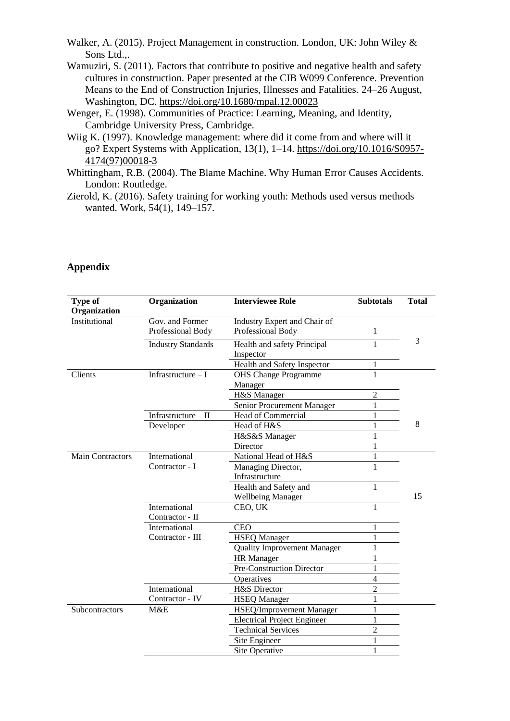- Walker, A. (2015). Project Management in construction*.* London*,* UK: John Wiley & Sons Ltd.,.
- Wamuziri, S. (2011). Factors that contribute to positive and negative health and safety cultures in construction. Paper presented at the CIB W099 Conference. Prevention Means to the End of Construction Injuries, Illnesses and Fatalities. 24–26 August, Washington, DC. <https://doi.org/10.1680/mpal.12.00023>
- Wenger, E. (1998). Communities of Practice: Learning, Meaning, and Identity, Cambridge University Press, Cambridge.
- Wiig K. (1997). Knowledge management: where did it come from and where will it go? Expert Systems with Application, 13(1), 1–14. [https://doi.org/10.1016/S0957-](https://doi.org/10.1016/S0957-4174(97)00018-3) [4174\(97\)00018-3](https://doi.org/10.1016/S0957-4174(97)00018-3)
- Whittingham, R.B. (2004). The Blame Machine. Why Human Error Causes Accidents. London: Routledge.
- Zierold, K. (2016). Safety training for working youth: Methods used versus methods wanted. Work, 54(1), 149–157.

| Type of<br>Organization | Organization              | <b>Interviewee Role</b>            | <b>Subtotals</b> | <b>Total</b> |
|-------------------------|---------------------------|------------------------------------|------------------|--------------|
| Institutional           | Gov. and Former           | Industry Expert and Chair of       |                  |              |
|                         | Professional Body         | Professional Body                  | 1                |              |
|                         | <b>Industry Standards</b> | Health and safety Principal        | 1                | 3            |
|                         |                           | Inspector                          |                  |              |
|                         |                           | Health and Safety Inspector        | 1                |              |
| Clients                 | Infrastructure $-I$       | <b>OHS Change Programme</b>        | 1                |              |
|                         |                           | Manager                            |                  |              |
|                         |                           | H&S Manager                        | $\overline{2}$   |              |
|                         |                           | Senior Procurement Manager         | 1                |              |
|                         | Infrastructure $-II$      | Head of Commercial                 | 1                |              |
|                         | Developer                 | Head of H&S                        | $\mathbf{1}$     | 8            |
|                         |                           | H&S&S Manager                      | $\mathbf{1}$     |              |
|                         |                           | Director                           | 1                |              |
| <b>Main Contractors</b> | International             | National Head of H&S               | $\mathbf{1}$     |              |
|                         | Contractor - I            | Managing Director,                 | $\mathbf{1}$     |              |
|                         |                           | Infrastructure                     |                  |              |
|                         |                           | Health and Safety and              | $\mathbf{1}$     |              |
|                         |                           | <b>Wellbeing Manager</b>           |                  | 15           |
|                         | International             | CEO, UK                            | 1                |              |
|                         | Contractor - II           |                                    |                  |              |
|                         | International             | <b>CEO</b>                         | 1                |              |
|                         | Contractor - III          | <b>HSEQ Manager</b>                | 1                |              |
|                         |                           | <b>Quality Improvement Manager</b> | 1                |              |
|                         |                           | <b>HR</b> Manager                  | 1                |              |
|                         |                           | Pre-Construction Director          | $\mathbf{1}$     |              |
|                         |                           | Operatives                         | $\overline{4}$   |              |
|                         | International             | H&S Director                       | $\overline{2}$   |              |
|                         | Contractor - IV           | <b>HSEQ Manager</b>                | 1                |              |
| Subcontractors          | M&E                       | <b>HSEQ/Improvement Manager</b>    | 1                |              |
|                         |                           | <b>Electrical Project Engineer</b> | 1                |              |
|                         |                           | <b>Technical Services</b>          | $\overline{2}$   |              |
|                         |                           | Site Engineer                      | 1                |              |
|                         |                           | Site Operative                     | 1                |              |

# **Appendix**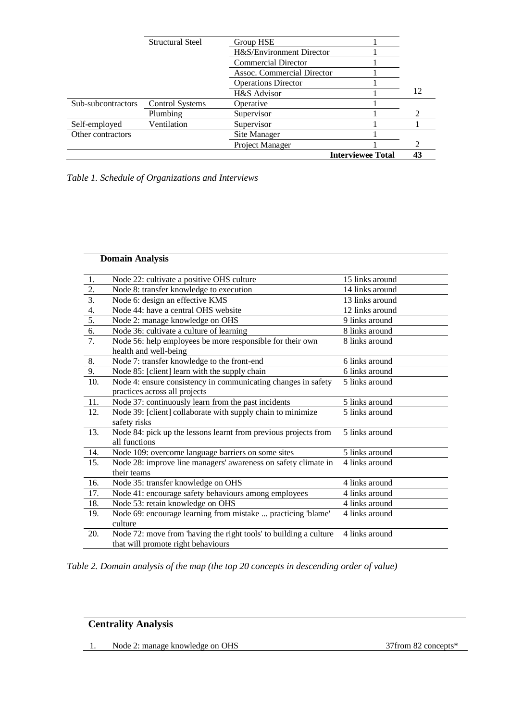|                    |                         |                            | <b>Interviewee Total</b> | 43                          |
|--------------------|-------------------------|----------------------------|--------------------------|-----------------------------|
|                    |                         | Project Manager            |                          | $\mathcal{D}_{\mathcal{A}}$ |
| Other contractors  |                         | Site Manager               |                          |                             |
| Self-employed      | Ventilation             | Supervisor                 |                          |                             |
|                    | Plumbing                | Supervisor                 |                          |                             |
| Sub-subcontractors | <b>Control Systems</b>  | Operative                  |                          |                             |
|                    |                         | H&S Advisor                |                          | 12                          |
|                    |                         | <b>Operations Director</b> |                          |                             |
|                    |                         | Assoc. Commercial Director |                          |                             |
|                    |                         | <b>Commercial Director</b> |                          |                             |
|                    |                         | H&S/Environment Director   |                          |                             |
|                    | <b>Structural Steel</b> | Group HSE                  |                          |                             |
|                    |                         |                            |                          |                             |

*Table 1. Schedule of Organizations and Interviews*

|                  | <b>Domain Analysis</b>                                            |                 |
|------------------|-------------------------------------------------------------------|-----------------|
| 1.               | Node 22: cultivate a positive OHS culture                         | 15 links around |
| 2.               | Node 8: transfer knowledge to execution                           | 14 links around |
| $\overline{3}$ . | Node 6: design an effective KMS                                   | 13 links around |
| 4.               | Node 44: have a central OHS website                               | 12 links around |
| 5.               | Node 2: manage knowledge on OHS                                   | 9 links around  |
| 6.               | Node 36: cultivate a culture of learning                          | 8 links around  |
| $\overline{7}$ . | Node 56: help employees be more responsible for their own         | 8 links around  |
|                  | health and well-being                                             |                 |
| 8.               | Node 7: transfer knowledge to the front-end                       | 6 links around  |
| 9.               | Node 85: [client] learn with the supply chain                     | 6 links around  |
| 10.              | Node 4: ensure consistency in communicating changes in safety     | 5 links around  |
|                  | practices across all projects                                     |                 |
| 11.              | Node 37: continuously learn from the past incidents               | 5 links around  |
| 12.              | Node 39: [client] collaborate with supply chain to minimize       | 5 links around  |
|                  | safety risks                                                      |                 |
| 13.              | Node 84: pick up the lessons learnt from previous projects from   | 5 links around  |
|                  | all functions                                                     |                 |
| 14.              | Node 109: overcome language barriers on some sites                | 5 links around  |
| 15.              | Node 28: improve line managers' awareness on safety climate in    | 4 links around  |
|                  | their teams                                                       |                 |
| 16.              | Node 35: transfer knowledge on OHS                                | 4 links around  |
| 17.              | Node 41: encourage safety behaviours among employees              | 4 links around  |
| 18.              | Node 53: retain knowledge on OHS                                  | 4 links around  |
| 19.              | Node 69: encourage learning from mistake  practicing 'blame'      | 4 links around  |
|                  | culture                                                           |                 |
| 20.              | Node 72: move from 'having the right tools' to building a culture | 4 links around  |
|                  | that will promote right behaviours                                |                 |

*Table 2. Domain analysis of the map (the top 20 concepts in descending order of value)*

| <b>Centrality Analysis</b> |                                 |                      |
|----------------------------|---------------------------------|----------------------|
|                            | Node 2: manage knowledge on OHS | 37 from 82 concepts* |